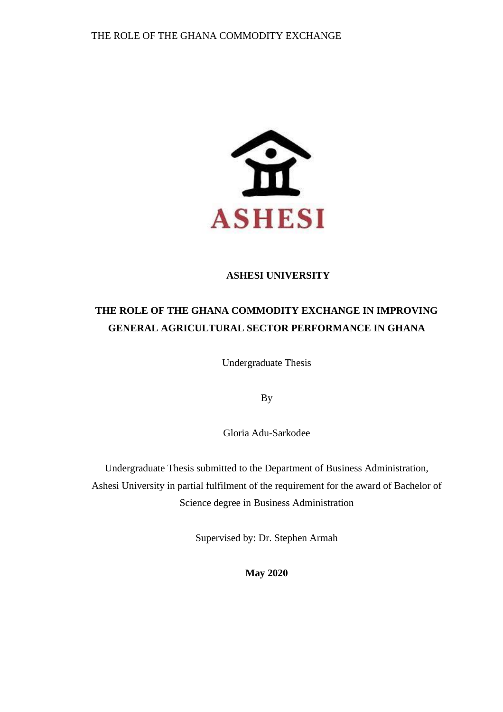

# **ASHESI UNIVERSITY**

# **THE ROLE OF THE GHANA COMMODITY EXCHANGE IN IMPROVING GENERAL AGRICULTURAL SECTOR PERFORMANCE IN GHANA**

Undergraduate Thesis

By

Gloria Adu-Sarkodee

Undergraduate Thesis submitted to the Department of Business Administration, Ashesi University in partial fulfilment of the requirement for the award of Bachelor of Science degree in Business Administration

Supervised by: Dr. Stephen Armah

**May 2020**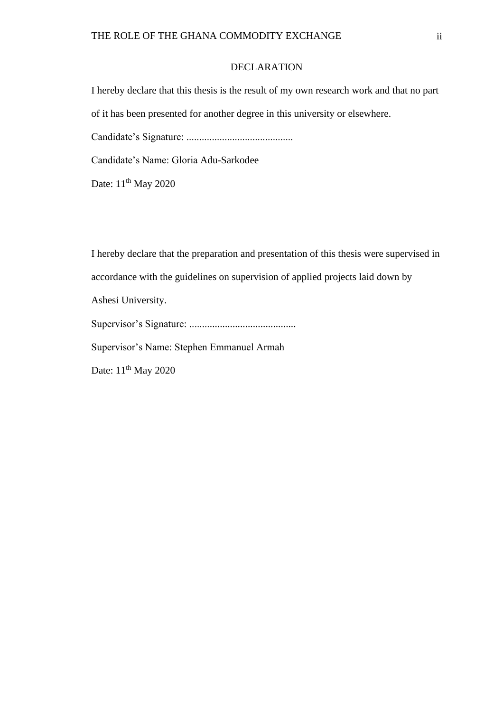#### DECLARATION

<span id="page-1-0"></span>I hereby declare that this thesis is the result of my own research work and that no part

of it has been presented for another degree in this university or elsewhere.

Candidate's Signature: ..........................................

Candidate's Name: Gloria Adu-Sarkodee

Date: 11<sup>th</sup> May 2020

I hereby declare that the preparation and presentation of this thesis were supervised in accordance with the guidelines on supervision of applied projects laid down by

Ashesi University.

Supervisor's Signature: ..........................................

Supervisor's Name: Stephen Emmanuel Armah

Date: 11<sup>th</sup> May 2020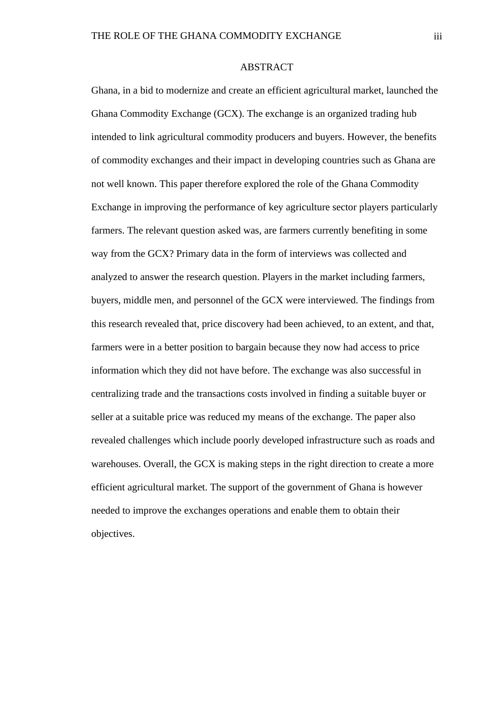#### ABSTRACT

<span id="page-2-0"></span>Ghana, in a bid to modernize and create an efficient agricultural market, launched the Ghana Commodity Exchange (GCX). The exchange is an organized trading hub intended to link agricultural commodity producers and buyers. However, the benefits of commodity exchanges and their impact in developing countries such as Ghana are not well known. This paper therefore explored the role of the Ghana Commodity Exchange in improving the performance of key agriculture sector players particularly farmers. The relevant question asked was, are farmers currently benefiting in some way from the GCX? Primary data in the form of interviews was collected and analyzed to answer the research question. Players in the market including farmers, buyers, middle men, and personnel of the GCX were interviewed. The findings from this research revealed that, price discovery had been achieved, to an extent, and that, farmers were in a better position to bargain because they now had access to price information which they did not have before. The exchange was also successful in centralizing trade and the transactions costs involved in finding a suitable buyer or seller at a suitable price was reduced my means of the exchange. The paper also revealed challenges which include poorly developed infrastructure such as roads and warehouses. Overall, the GCX is making steps in the right direction to create a more efficient agricultural market. The support of the government of Ghana is however needed to improve the exchanges operations and enable them to obtain their objectives.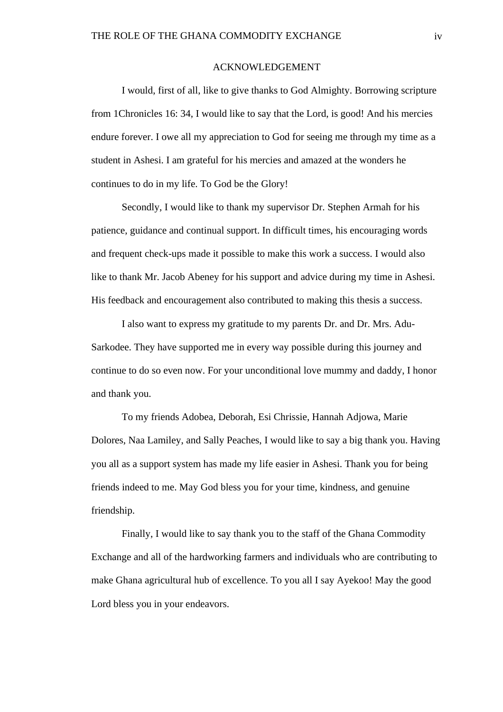#### ACKNOWLEDGEMENT

<span id="page-3-0"></span>I would, first of all, like to give thanks to God Almighty. Borrowing scripture from 1Chronicles 16: 34, I would like to say that the Lord, is good! And his mercies endure forever. I owe all my appreciation to God for seeing me through my time as a student in Ashesi. I am grateful for his mercies and amazed at the wonders he continues to do in my life. To God be the Glory!

Secondly, I would like to thank my supervisor Dr. Stephen Armah for his patience, guidance and continual support. In difficult times, his encouraging words and frequent check-ups made it possible to make this work a success. I would also like to thank Mr. Jacob Abeney for his support and advice during my time in Ashesi. His feedback and encouragement also contributed to making this thesis a success.

I also want to express my gratitude to my parents Dr. and Dr. Mrs. Adu-Sarkodee. They have supported me in every way possible during this journey and continue to do so even now. For your unconditional love mummy and daddy, I honor and thank you.

To my friends Adobea, Deborah, Esi Chrissie, Hannah Adjowa, Marie Dolores, Naa Lamiley, and Sally Peaches, I would like to say a big thank you. Having you all as a support system has made my life easier in Ashesi. Thank you for being friends indeed to me. May God bless you for your time, kindness, and genuine friendship.

Finally, I would like to say thank you to the staff of the Ghana Commodity Exchange and all of the hardworking farmers and individuals who are contributing to make Ghana agricultural hub of excellence. To you all I say Ayekoo! May the good Lord bless you in your endeavors.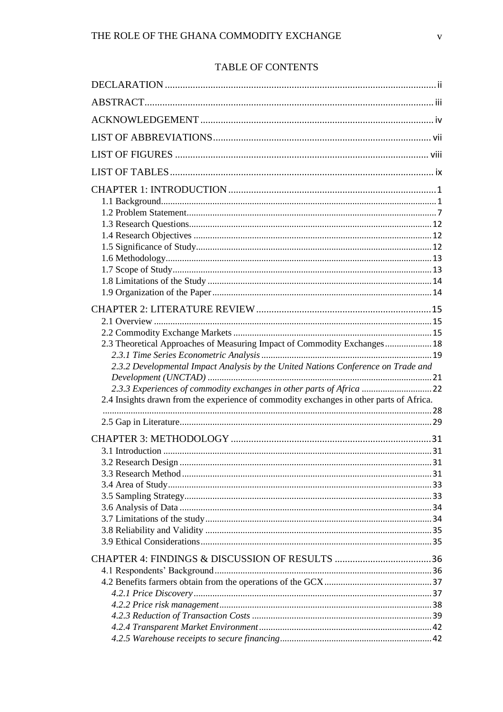# TABLE OF CONTENTS

| 2.3 Theoretical Approaches of Measuring Impact of Commodity Exchanges 18                |  |
|-----------------------------------------------------------------------------------------|--|
|                                                                                         |  |
| 2.3.2 Developmental Impact Analysis by the United Nations Conference on Trade and       |  |
|                                                                                         |  |
| 2.3.3 Experiences of commodity exchanges in other parts of Africa  22                   |  |
| 2.4 Insights drawn from the experience of commodity exchanges in other parts of Africa. |  |
|                                                                                         |  |
|                                                                                         |  |
|                                                                                         |  |
|                                                                                         |  |
|                                                                                         |  |
|                                                                                         |  |
|                                                                                         |  |
|                                                                                         |  |
|                                                                                         |  |
|                                                                                         |  |
|                                                                                         |  |
|                                                                                         |  |
|                                                                                         |  |
|                                                                                         |  |
|                                                                                         |  |
|                                                                                         |  |
|                                                                                         |  |
|                                                                                         |  |
|                                                                                         |  |
|                                                                                         |  |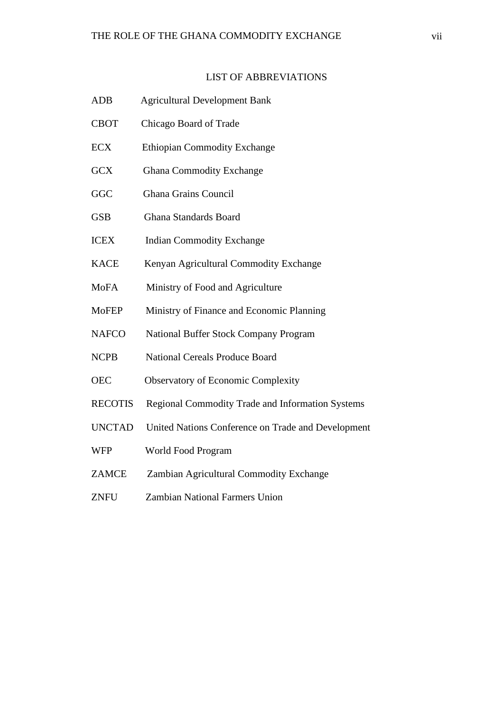# LIST OF ABBREVIATIONS

<span id="page-6-0"></span>

| <b>ADB</b>     | <b>Agricultural Development Bank</b>                    |
|----------------|---------------------------------------------------------|
| <b>CBOT</b>    | Chicago Board of Trade                                  |
| <b>ECX</b>     | <b>Ethiopian Commodity Exchange</b>                     |
| <b>GCX</b>     | <b>Ghana Commodity Exchange</b>                         |
| GGC            | <b>Ghana Grains Council</b>                             |
| <b>GSB</b>     | Ghana Standards Board                                   |
| <b>ICEX</b>    | <b>Indian Commodity Exchange</b>                        |
| <b>KACE</b>    | Kenyan Agricultural Commodity Exchange                  |
| <b>MoFA</b>    | Ministry of Food and Agriculture                        |
| <b>MoFEP</b>   | Ministry of Finance and Economic Planning               |
| <b>NAFCO</b>   | National Buffer Stock Company Program                   |
| <b>NCPB</b>    | <b>National Cereals Produce Board</b>                   |
| <b>OEC</b>     | <b>Observatory of Economic Complexity</b>               |
| <b>RECOTIS</b> | <b>Regional Commodity Trade and Information Systems</b> |
| <b>UNCTAD</b>  | United Nations Conference on Trade and Development      |
| <b>WFP</b>     | World Food Program                                      |
| <b>ZAMCE</b>   | Zambian Agricultural Commodity Exchange                 |
|                |                                                         |

ZNFU Zambian National Farmers Union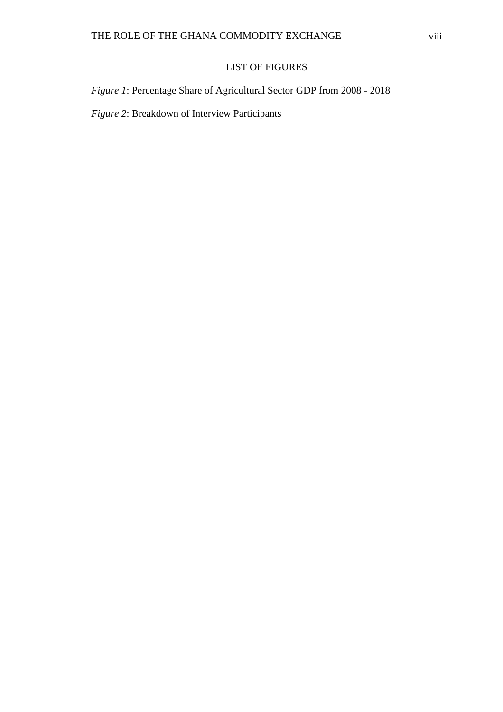# LIST OF FIGURES

<span id="page-7-0"></span>*Figure 1*: Percentage Share of Agricultural Sector GDP from 2008 - 2018

*Figure 2*: Breakdown of Interview Participants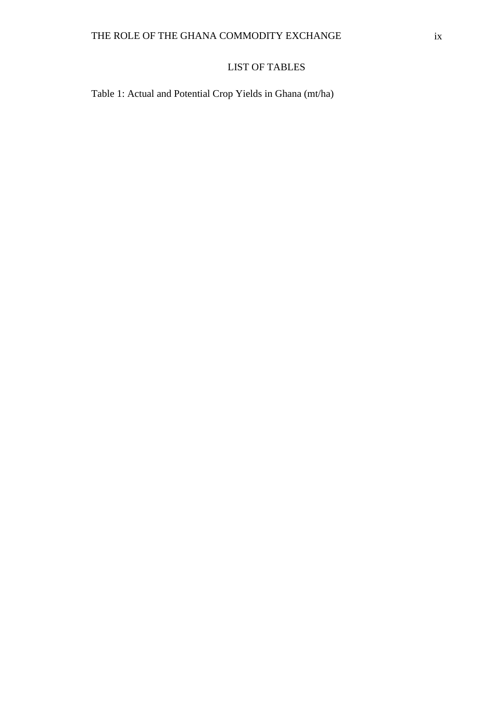# LIST OF TABLES

<span id="page-8-0"></span>Table 1: Actual and Potential Crop Yields in Ghana (mt/ha)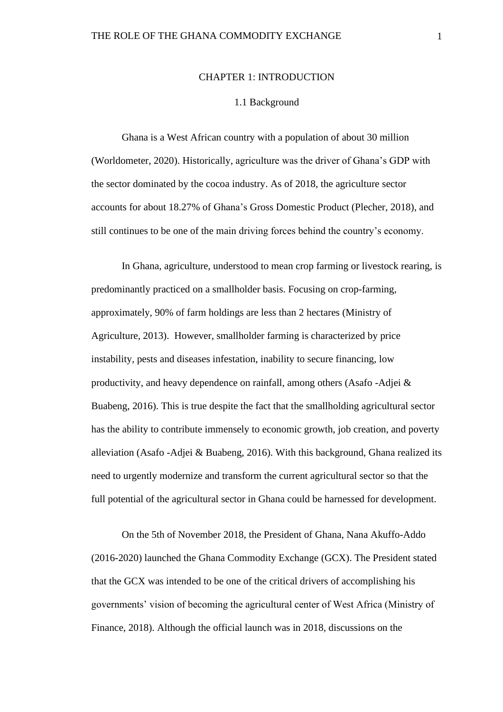#### CHAPTER 1: INTRODUCTION

#### 1.1 Background

<span id="page-9-1"></span><span id="page-9-0"></span>Ghana is a West African country with a population of about 30 million (Worldometer, 2020). Historically, agriculture was the driver of Ghana's GDP with the sector dominated by the cocoa industry. As of 2018, the agriculture sector accounts for about 18.27% of Ghana's Gross Domestic Product (Plecher, 2018), and still continues to be one of the main driving forces behind the country's economy.

In Ghana, agriculture, understood to mean crop farming or livestock rearing, is predominantly practiced on a smallholder basis. Focusing on crop-farming, approximately, 90% of farm holdings are less than 2 hectares (Ministry of Agriculture, 2013). However, smallholder farming is characterized by price instability, pests and diseases infestation, inability to secure financing, low productivity, and heavy dependence on rainfall, among others (Asafo -Adjei & Buabeng, 2016). This is true despite the fact that the smallholding agricultural sector has the ability to contribute immensely to economic growth, job creation, and poverty alleviation (Asafo -Adjei & Buabeng, 2016). With this background, Ghana realized its need to urgently modernize and transform the current agricultural sector so that the full potential of the agricultural sector in Ghana could be harnessed for development.

On the 5th of November 2018, the President of Ghana, Nana Akuffo-Addo (2016-2020) launched the Ghana Commodity Exchange (GCX). The President stated that the GCX was intended to be one of the critical drivers of accomplishing his governments' vision of becoming the agricultural center of West Africa (Ministry of Finance, 2018). Although the official launch was in 2018, discussions on the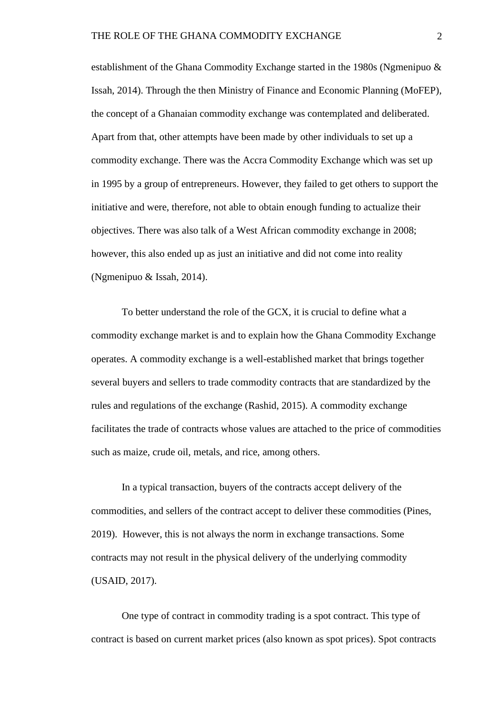establishment of the Ghana Commodity Exchange started in the 1980s (Ngmenipuo & Issah, 2014). Through the then Ministry of Finance and Economic Planning (MoFEP), the concept of a Ghanaian commodity exchange was contemplated and deliberated. Apart from that, other attempts have been made by other individuals to set up a commodity exchange. There was the Accra Commodity Exchange which was set up in 1995 by a group of entrepreneurs. However, they failed to get others to support the initiative and were, therefore, not able to obtain enough funding to actualize their objectives. There was also talk of a West African commodity exchange in 2008; however, this also ended up as just an initiative and did not come into reality (Ngmenipuo & Issah, 2014).

 To better understand the role of the GCX, it is crucial to define what a commodity exchange market is and to explain how the Ghana Commodity Exchange operates. A commodity exchange is a well-established market that brings together several buyers and sellers to trade commodity contracts that are standardized by the rules and regulations of the exchange (Rashid, 2015). A commodity exchange facilitates the trade of contracts whose values are attached to the price of commodities such as maize, crude oil, metals, and rice, among others.

In a typical transaction, buyers of the contracts accept delivery of the commodities, and sellers of the contract accept to deliver these commodities (Pines, 2019). However, this is not always the norm in exchange transactions. Some contracts may not result in the physical delivery of the underlying commodity (USAID, 2017).

One type of contract in commodity trading is a spot contract. This type of contract is based on current market prices (also known as spot prices). Spot contracts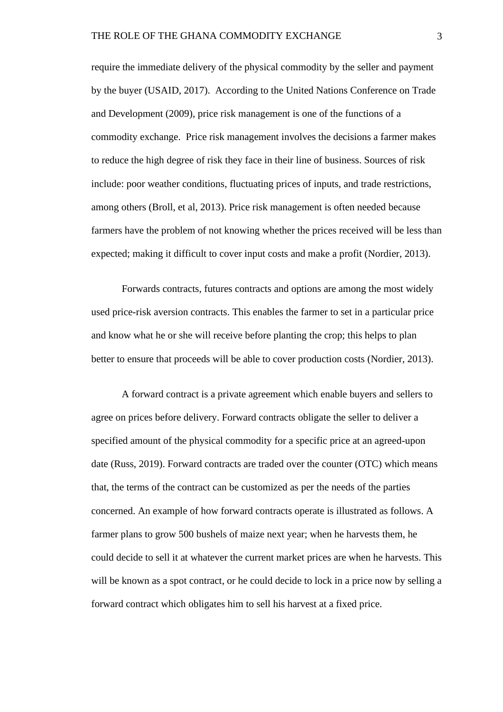require the immediate delivery of the physical commodity by the seller and payment by the buyer (USAID, 2017). According to the United Nations Conference on Trade and Development (2009), price risk management is one of the functions of a commodity exchange. Price risk management involves the decisions a farmer makes to reduce the high degree of risk they face in their line of business. Sources of risk include: poor weather conditions, fluctuating prices of inputs, and trade restrictions, among others (Broll, et al, 2013). Price risk management is often needed because farmers have the problem of not knowing whether the prices received will be less than expected; making it difficult to cover input costs and make a profit (Nordier, 2013).

Forwards contracts, futures contracts and options are among the most widely used price-risk aversion contracts. This enables the farmer to set in a particular price and know what he or she will receive before planting the crop; this helps to plan better to ensure that proceeds will be able to cover production costs (Nordier, 2013).

A forward contract is a private agreement which enable buyers and sellers to agree on prices before delivery. Forward contracts obligate the seller to deliver a specified amount of the physical commodity for a specific price at an agreed-upon date (Russ, 2019). Forward contracts are traded over the counter (OTC) which means that, the terms of the contract can be customized as per the needs of the parties concerned. An example of how forward contracts operate is illustrated as follows. A farmer plans to grow 500 bushels of maize next year; when he harvests them, he could decide to sell it at whatever the current market prices are when he harvests. This will be known as a spot contract, or he could decide to lock in a price now by selling a forward contract which obligates him to sell his harvest at a fixed price.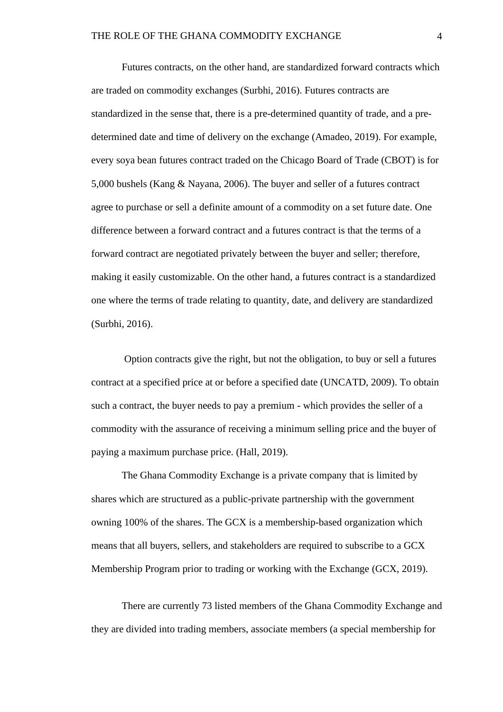Futures contracts, on the other hand, are standardized forward contracts which are traded on commodity exchanges (Surbhi, 2016). Futures contracts are standardized in the sense that, there is a pre-determined quantity of trade, and a predetermined date and time of delivery on the exchange (Amadeo, 2019). For example, every soya bean futures contract traded on the Chicago Board of Trade (CBOT) is for 5,000 bushels (Kang & Nayana, 2006). The buyer and seller of a futures contract agree to purchase or sell a definite amount of a commodity on a set future date. One difference between a forward contract and a futures contract is that the terms of a forward contract are negotiated privately between the buyer and seller; therefore, making it easily customizable. On the other hand, a futures contract is a standardized one where the terms of trade relating to quantity, date, and delivery are standardized (Surbhi, 2016).

Option contracts give the right, but not the obligation, to buy or sell a futures contract at a specified price at or before a specified date (UNCATD, 2009). To obtain such a contract, the buyer needs to pay a premium - which provides the seller of a commodity with the assurance of receiving a minimum selling price and the buyer of paying a maximum purchase price. (Hall, 2019).

The Ghana Commodity Exchange is a private company that is limited by shares which are structured as a public-private partnership with the government owning 100% of the shares. The GCX is a membership-based organization which means that all buyers, sellers, and stakeholders are required to subscribe to a GCX Membership Program prior to trading or working with the Exchange (GCX, 2019).

There are currently 73 listed members of the Ghana Commodity Exchange and they are divided into trading members, associate members (a special membership for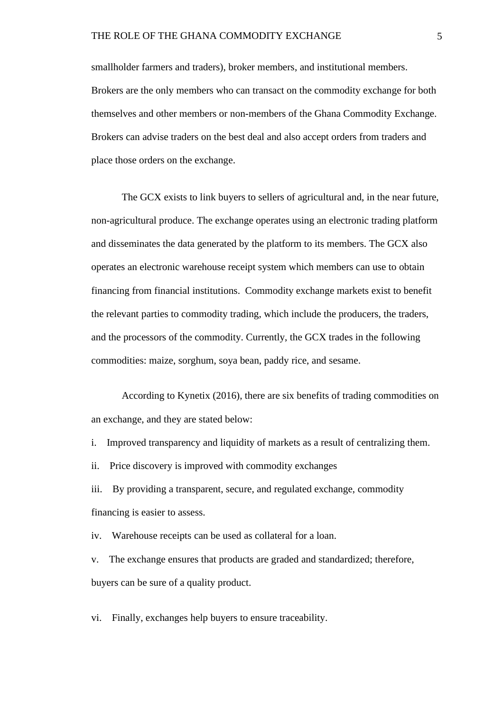smallholder farmers and traders), broker members, and institutional members. Brokers are the only members who can transact on the commodity exchange for both themselves and other members or non-members of the Ghana Commodity Exchange. Brokers can advise traders on the best deal and also accept orders from traders and place those orders on the exchange.

The GCX exists to link buyers to sellers of agricultural and, in the near future, non-agricultural produce. The exchange operates using an electronic trading platform and disseminates the data generated by the platform to its members. The GCX also operates an electronic warehouse receipt system which members can use to obtain financing from financial institutions. Commodity exchange markets exist to benefit the relevant parties to commodity trading, which include the producers, the traders, and the processors of the commodity. Currently, the GCX trades in the following commodities: maize, sorghum, soya bean, paddy rice, and sesame.

According to Kynetix (2016), there are six benefits of trading commodities on an exchange, and they are stated below:

- i. Improved transparency and liquidity of markets as a result of centralizing them.
- ii. Price discovery is improved with commodity exchanges

iii. By providing a transparent, secure, and regulated exchange, commodity financing is easier to assess.

iv. Warehouse receipts can be used as collateral for a loan.

v. The exchange ensures that products are graded and standardized; therefore, buyers can be sure of a quality product.

vi. Finally, exchanges help buyers to ensure traceability.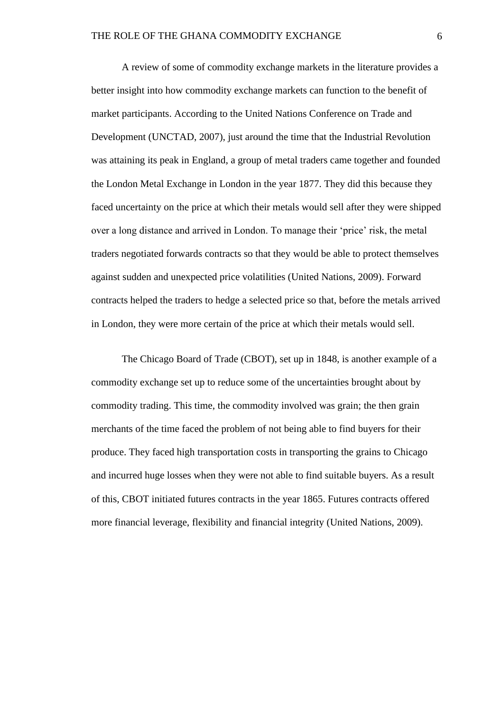A review of some of commodity exchange markets in the literature provides a better insight into how commodity exchange markets can function to the benefit of market participants. According to the United Nations Conference on Trade and Development (UNCTAD, 2007), just around the time that the Industrial Revolution was attaining its peak in England, a group of metal traders came together and founded the London Metal Exchange in London in the year 1877. They did this because they faced uncertainty on the price at which their metals would sell after they were shipped over a long distance and arrived in London. To manage their 'price' risk, the metal traders negotiated forwards contracts so that they would be able to protect themselves against sudden and unexpected price volatilities (United Nations, 2009). Forward contracts helped the traders to hedge a selected price so that, before the metals arrived in London, they were more certain of the price at which their metals would sell.

The Chicago Board of Trade (CBOT), set up in 1848, is another example of a commodity exchange set up to reduce some of the uncertainties brought about by commodity trading. This time, the commodity involved was grain; the then grain merchants of the time faced the problem of not being able to find buyers for their produce. They faced high transportation costs in transporting the grains to Chicago and incurred huge losses when they were not able to find suitable buyers. As a result of this, CBOT initiated futures contracts in the year 1865. Futures contracts offered more financial leverage, flexibility and financial integrity (United Nations, 2009).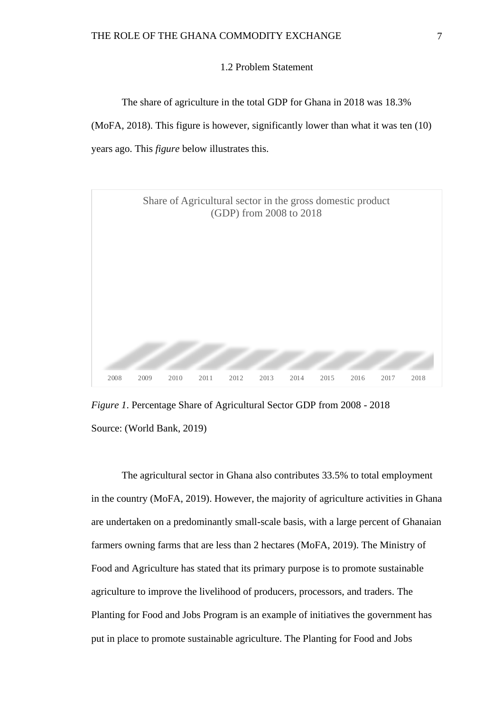#### 1.2 Problem Statement

<span id="page-15-0"></span>The share of agriculture in the total GDP for Ghana in 2018 was 18.3%

(MoFA, 2018). This figure is however, significantly lower than what it was ten (10) years ago. This *figure* below illustrates this.



*Figure 1*. Percentage Share of Agricultural Sector GDP from 2008 - 2018 Source: (World Bank, 2019)

The agricultural sector in Ghana also contributes 33.5% to total employment in the country (MoFA, 2019). However, the majority of agriculture activities in Ghana are undertaken on a predominantly small-scale basis, with a large percent of Ghanaian farmers owning farms that are less than 2 hectares (MoFA, 2019). The Ministry of Food and Agriculture has stated that its primary purpose is to promote sustainable agriculture to improve the livelihood of producers, processors, and traders. The Planting for Food and Jobs Program is an example of initiatives the government has put in place to promote sustainable agriculture. The Planting for Food and Jobs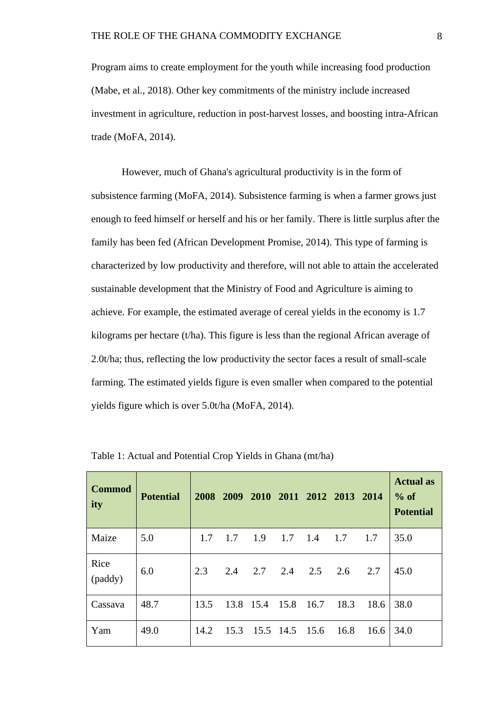Program aims to create employment for the youth while increasing food production (Mabe, et al., 2018). Other key commitments of the ministry include increased investment in agriculture, reduction in post-harvest losses, and boosting intra-African trade (MoFA, 2014).

However, much of Ghana's agricultural productivity is in the form of subsistence farming (MoFA, 2014). Subsistence farming is when a farmer grows just enough to feed himself or herself and his or her family. There is little surplus after the family has been fed (African Development Promise, 2014). This type of farming is characterized by low productivity and therefore, will not able to attain the accelerated sustainable development that the Ministry of Food and Agriculture is aiming to achieve. For example, the estimated average of cereal yields in the economy is 1.7 kilograms per hectare (t/ha). This figure is less than the regional African average of 2.0t/ha; thus, reflecting the low productivity the sector faces a result of small-scale farming. The estimated yields figure is even smaller when compared to the potential yields figure which is over 5.0t/ha (MoFA, 2014).

| <b>Commod</b><br>ity | <b>Potential</b> | 2008 | 2009 |                     |                |     | 2010 2011 2012 2013 2014 |      | <b>Actual</b> as<br>$%$ of<br><b>Potential</b> |
|----------------------|------------------|------|------|---------------------|----------------|-----|--------------------------|------|------------------------------------------------|
| Maize                | 5.0              | 1.7  | 1.7  | 1.9                 | 1.7            | 1.4 | 1.7                      | 1.7  | 35.0                                           |
| Rice<br>(paddy)      | 6.0              | 2.3  | 2.4  | $2.7\quad 2.4$      |                | 2.5 | 2.6                      | 2.7  | 45.0                                           |
| Cassava              | 48.7             | 13.5 |      | 13.8 15.4 15.8 16.7 |                |     | 18.3                     | 18.6 | 38.0                                           |
| Yam                  | 49.0             | 14.2 | 15.3 |                     | 15.5 14.5 15.6 |     | 16.8                     | 16.6 | 34.0                                           |

Table 1: Actual and Potential Crop Yields in Ghana (mt/ha)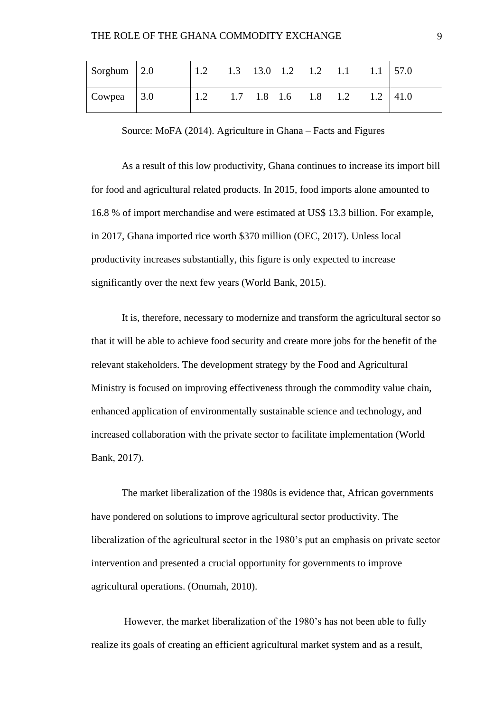| Sorghum $\vert 2.0 \vert$  |     |  |                               | $1.3$ $13.0$ $1.2$ $1.2$ $1.1$ | $1.1$ 57.0   |
|----------------------------|-----|--|-------------------------------|--------------------------------|--------------|
| $\vert$ Cowpea $\vert$ 3.0 | 1.2 |  | $1.7$ $1.8$ $1.6$ $1.8$ $1.2$ |                                | $1.2$   41.0 |

Source: MoFA (2014). Agriculture in Ghana – Facts and Figures

As a result of this low productivity, Ghana continues to increase its import bill for food and agricultural related products. In 2015, food imports alone amounted to 16.8 % of import merchandise and were estimated at US\$ 13.3 billion. For example, in 2017, Ghana imported rice worth \$370 million (OEC, 2017). Unless local productivity increases substantially, this figure is only expected to increase significantly over the next few years (World Bank, 2015).

It is, therefore, necessary to modernize and transform the agricultural sector so that it will be able to achieve food security and create more jobs for the benefit of the relevant stakeholders. The development strategy by the Food and Agricultural Ministry is focused on improving effectiveness through the commodity value chain, enhanced application of environmentally sustainable science and technology, and increased collaboration with the private sector to facilitate implementation (World Bank, 2017).

The market liberalization of the 1980s is evidence that, African governments have pondered on solutions to improve agricultural sector productivity. The liberalization of the agricultural sector in the 1980's put an emphasis on private sector intervention and presented a crucial opportunity for governments to improve agricultural operations. (Onumah, 2010).

However, the market liberalization of the 1980's has not been able to fully realize its goals of creating an efficient agricultural market system and as a result,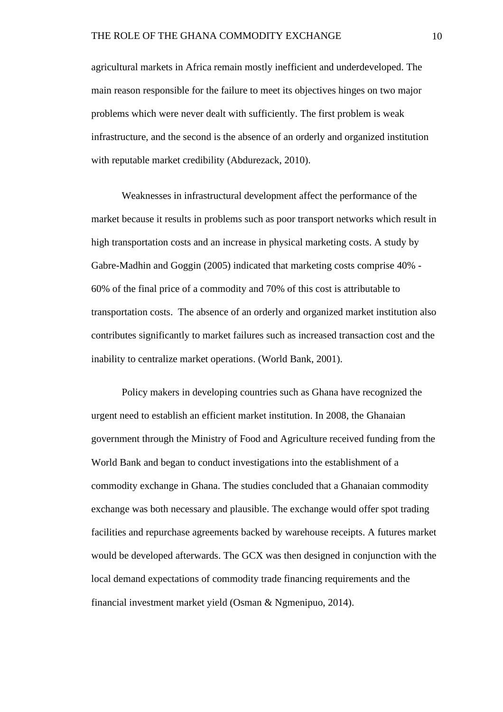agricultural markets in Africa remain mostly inefficient and underdeveloped. The main reason responsible for the failure to meet its objectives hinges on two major problems which were never dealt with sufficiently. The first problem is weak infrastructure, and the second is the absence of an orderly and organized institution with reputable market credibility (Abdurezack, 2010).

Weaknesses in infrastructural development affect the performance of the market because it results in problems such as poor transport networks which result in high transportation costs and an increase in physical marketing costs. A study by Gabre-Madhin and Goggin (2005) indicated that marketing costs comprise 40% - 60% of the final price of a commodity and 70% of this cost is attributable to transportation costs. The absence of an orderly and organized market institution also contributes significantly to market failures such as increased transaction cost and the inability to centralize market operations. (World Bank, 2001).

Policy makers in developing countries such as Ghana have recognized the urgent need to establish an efficient market institution. In 2008, the Ghanaian government through the Ministry of Food and Agriculture received funding from the World Bank and began to conduct investigations into the establishment of a commodity exchange in Ghana. The studies concluded that a Ghanaian commodity exchange was both necessary and plausible. The exchange would offer spot trading facilities and repurchase agreements backed by warehouse receipts. A futures market would be developed afterwards. The GCX was then designed in conjunction with the local demand expectations of commodity trade financing requirements and the financial investment market yield (Osman & Ngmenipuo, 2014).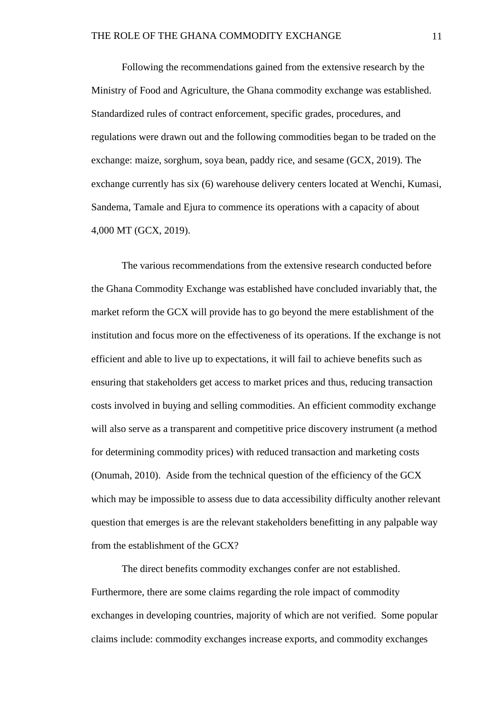Following the recommendations gained from the extensive research by the Ministry of Food and Agriculture, the Ghana commodity exchange was established. Standardized rules of contract enforcement, specific grades, procedures, and regulations were drawn out and the following commodities began to be traded on the exchange: maize, sorghum, soya bean, paddy rice, and sesame (GCX, 2019). The exchange currently has six (6) warehouse delivery centers located at Wenchi, Kumasi, Sandema, Tamale and Ejura to commence its operations with a capacity of about 4,000 MT (GCX, 2019).

The various recommendations from the extensive research conducted before the Ghana Commodity Exchange was established have concluded invariably that, the market reform the GCX will provide has to go beyond the mere establishment of the institution and focus more on the effectiveness of its operations. If the exchange is not efficient and able to live up to expectations, it will fail to achieve benefits such as ensuring that stakeholders get access to market prices and thus, reducing transaction costs involved in buying and selling commodities. An efficient commodity exchange will also serve as a transparent and competitive price discovery instrument (a method for determining commodity prices) with reduced transaction and marketing costs (Onumah, 2010). Aside from the technical question of the efficiency of the GCX which may be impossible to assess due to data accessibility difficulty another relevant question that emerges is are the relevant stakeholders benefitting in any palpable way from the establishment of the GCX?

The direct benefits commodity exchanges confer are not established. Furthermore, there are some claims regarding the role impact of commodity exchanges in developing countries, majority of which are not verified. Some popular claims include: commodity exchanges increase exports, and commodity exchanges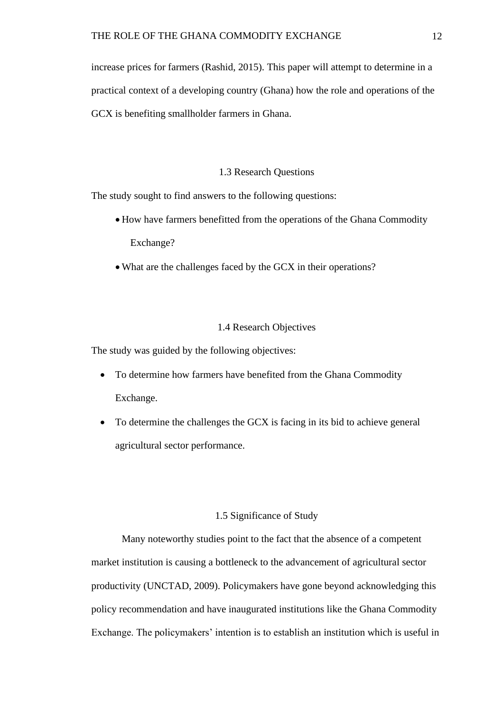increase prices for farmers (Rashid, 2015). This paper will attempt to determine in a practical context of a developing country (Ghana) how the role and operations of the GCX is benefiting smallholder farmers in Ghana.

#### 1.3 Research Questions

<span id="page-20-0"></span>The study sought to find answers to the following questions:

- How have farmers benefitted from the operations of the Ghana Commodity Exchange?
- What are the challenges faced by the GCX in their operations?

#### 1.4 Research Objectives

<span id="page-20-1"></span>The study was guided by the following objectives:

- To determine how farmers have benefited from the Ghana Commodity Exchange.
- To determine the challenges the GCX is facing in its bid to achieve general agricultural sector performance.

## 1.5 Significance of Study

<span id="page-20-2"></span>Many noteworthy studies point to the fact that the absence of a competent market institution is causing a bottleneck to the advancement of agricultural sector productivity (UNCTAD, 2009). Policymakers have gone beyond acknowledging this policy recommendation and have inaugurated institutions like the Ghana Commodity Exchange. The policymakers' intention is to establish an institution which is useful in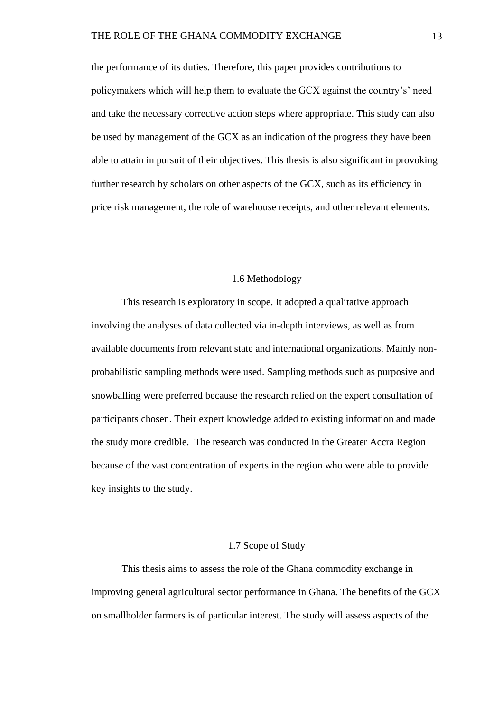the performance of its duties. Therefore, this paper provides contributions to policymakers which will help them to evaluate the GCX against the country's' need and take the necessary corrective action steps where appropriate. This study can also be used by management of the GCX as an indication of the progress they have been able to attain in pursuit of their objectives. This thesis is also significant in provoking further research by scholars on other aspects of the GCX, such as its efficiency in price risk management, the role of warehouse receipts, and other relevant elements.

#### 1.6 Methodology

<span id="page-21-0"></span>This research is exploratory in scope. It adopted a qualitative approach involving the analyses of data collected via in-depth interviews, as well as from available documents from relevant state and international organizations. Mainly nonprobabilistic sampling methods were used. Sampling methods such as purposive and snowballing were preferred because the research relied on the expert consultation of participants chosen. Their expert knowledge added to existing information and made the study more credible. The research was conducted in the Greater Accra Region because of the vast concentration of experts in the region who were able to provide key insights to the study.

## 1.7 Scope of Study

<span id="page-21-1"></span>This thesis aims to assess the role of the Ghana commodity exchange in improving general agricultural sector performance in Ghana. The benefits of the GCX on smallholder farmers is of particular interest. The study will assess aspects of the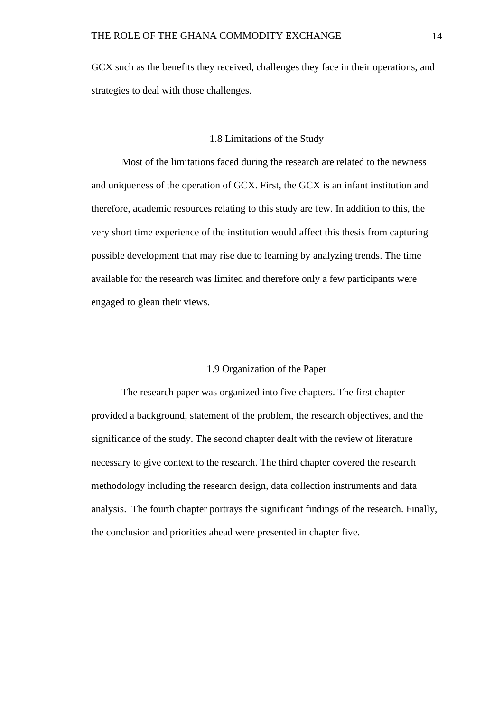GCX such as the benefits they received, challenges they face in their operations, and strategies to deal with those challenges.

#### 1.8 Limitations of the Study

<span id="page-22-0"></span>Most of the limitations faced during the research are related to the newness and uniqueness of the operation of GCX. First, the GCX is an infant institution and therefore, academic resources relating to this study are few. In addition to this, the very short time experience of the institution would affect this thesis from capturing possible development that may rise due to learning by analyzing trends. The time available for the research was limited and therefore only a few participants were engaged to glean their views.

## 1.9 Organization of the Paper

<span id="page-22-1"></span>The research paper was organized into five chapters. The first chapter provided a background, statement of the problem, the research objectives, and the significance of the study. The second chapter dealt with the review of literature necessary to give context to the research. The third chapter covered the research methodology including the research design, data collection instruments and data analysis. The fourth chapter portrays the significant findings of the research. Finally, the conclusion and priorities ahead were presented in chapter five.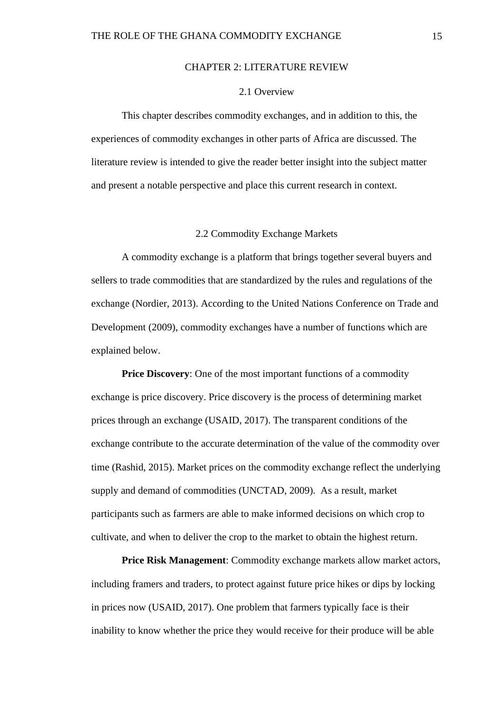#### CHAPTER 2: LITERATURE REVIEW

## 2.1 Overview

<span id="page-23-1"></span><span id="page-23-0"></span>This chapter describes commodity exchanges, and in addition to this, the experiences of commodity exchanges in other parts of Africa are discussed. The literature review is intended to give the reader better insight into the subject matter and present a notable perspective and place this current research in context.

#### 2.2 Commodity Exchange Markets

<span id="page-23-2"></span>A commodity exchange is a platform that brings together several buyers and sellers to trade commodities that are standardized by the rules and regulations of the exchange (Nordier, 2013). According to the United Nations Conference on Trade and Development (2009), commodity exchanges have a number of functions which are explained below.

**Price Discovery:** One of the most important functions of a commodity exchange is price discovery. Price discovery is the process of determining market prices through an exchange (USAID, 2017). The transparent conditions of the exchange contribute to the accurate determination of the value of the commodity over time (Rashid, 2015). Market prices on the commodity exchange reflect the underlying supply and demand of commodities (UNCTAD, 2009). As a result, market participants such as farmers are able to make informed decisions on which crop to cultivate, and when to deliver the crop to the market to obtain the highest return.

Price Risk Management: Commodity exchange markets allow market actors, including framers and traders, to protect against future price hikes or dips by locking in prices now (USAID, 2017). One problem that farmers typically face is their inability to know whether the price they would receive for their produce will be able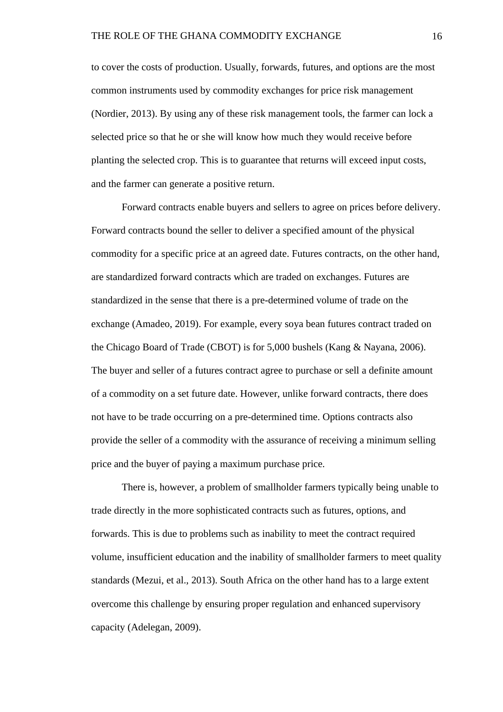to cover the costs of production. Usually, forwards, futures, and options are the most common instruments used by commodity exchanges for price risk management (Nordier, 2013). By using any of these risk management tools, the farmer can lock a selected price so that he or she will know how much they would receive before planting the selected crop. This is to guarantee that returns will exceed input costs, and the farmer can generate a positive return.

Forward contracts enable buyers and sellers to agree on prices before delivery. Forward contracts bound the seller to deliver a specified amount of the physical commodity for a specific price at an agreed date. Futures contracts, on the other hand, are standardized forward contracts which are traded on exchanges. Futures are standardized in the sense that there is a pre-determined volume of trade on the exchange (Amadeo, 2019). For example, every soya bean futures contract traded on the Chicago Board of Trade (CBOT) is for 5,000 bushels (Kang & Nayana, 2006). The buyer and seller of a futures contract agree to purchase or sell a definite amount of a commodity on a set future date. However, unlike forward contracts, there does not have to be trade occurring on a pre-determined time. Options contracts also provide the seller of a commodity with the assurance of receiving a minimum selling price and the buyer of paying a maximum purchase price.

There is, however, a problem of smallholder farmers typically being unable to trade directly in the more sophisticated contracts such as futures, options, and forwards. This is due to problems such as inability to meet the contract required volume, insufficient education and the inability of smallholder farmers to meet quality standards (Mezui, et al., 2013). South Africa on the other hand has to a large extent overcome this challenge by ensuring proper regulation and enhanced supervisory capacity (Adelegan, 2009).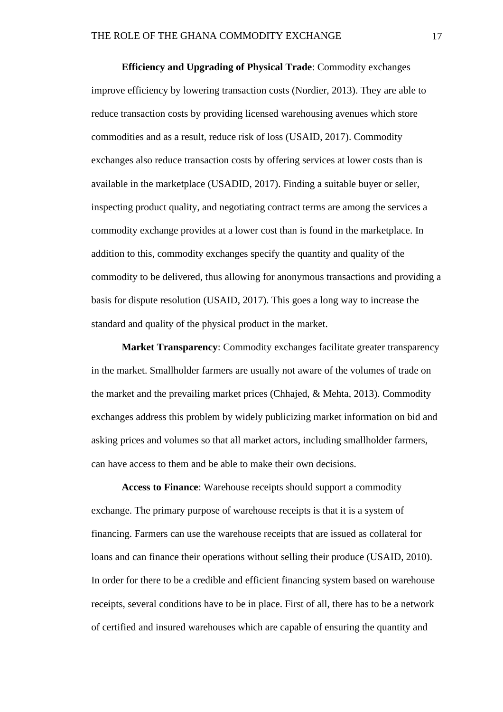**Efficiency and Upgrading of Physical Trade**: Commodity exchanges improve efficiency by lowering transaction costs (Nordier, 2013). They are able to reduce transaction costs by providing licensed warehousing avenues which store commodities and as a result, reduce risk of loss (USAID, 2017). Commodity exchanges also reduce transaction costs by offering services at lower costs than is available in the marketplace (USADID, 2017). Finding a suitable buyer or seller, inspecting product quality, and negotiating contract terms are among the services a commodity exchange provides at a lower cost than is found in the marketplace. In addition to this, commodity exchanges specify the quantity and quality of the commodity to be delivered, thus allowing for anonymous transactions and providing a basis for dispute resolution (USAID, 2017). This goes a long way to increase the standard and quality of the physical product in the market.

**Market Transparency**: Commodity exchanges facilitate greater transparency in the market. Smallholder farmers are usually not aware of the volumes of trade on the market and the prevailing market prices (Chhajed, & Mehta, 2013). Commodity exchanges address this problem by widely publicizing market information on bid and asking prices and volumes so that all market actors, including smallholder farmers, can have access to them and be able to make their own decisions.

**Access to Finance**: Warehouse receipts should support a commodity exchange. The primary purpose of warehouse receipts is that it is a system of financing. Farmers can use the warehouse receipts that are issued as collateral for loans and can finance their operations without selling their produce (USAID, 2010). In order for there to be a credible and efficient financing system based on warehouse receipts, several conditions have to be in place. First of all, there has to be a network of certified and insured warehouses which are capable of ensuring the quantity and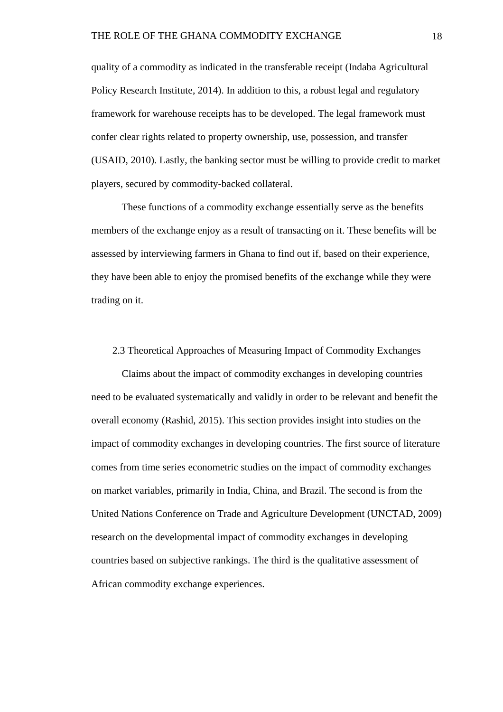quality of a commodity as indicated in the transferable receipt (Indaba Agricultural Policy Research Institute, 2014). In addition to this, a robust legal and regulatory framework for warehouse receipts has to be developed. The legal framework must confer clear rights related to property ownership, use, possession, and transfer (USAID, 2010). Lastly, the banking sector must be willing to provide credit to market players, secured by commodity-backed collateral.

These functions of a commodity exchange essentially serve as the benefits members of the exchange enjoy as a result of transacting on it. These benefits will be assessed by interviewing farmers in Ghana to find out if, based on their experience, they have been able to enjoy the promised benefits of the exchange while they were trading on it.

#### <span id="page-26-0"></span>2.3 Theoretical Approaches of Measuring Impact of Commodity Exchanges

Claims about the impact of commodity exchanges in developing countries need to be evaluated systematically and validly in order to be relevant and benefit the overall economy (Rashid, 2015). This section provides insight into studies on the impact of commodity exchanges in developing countries. The first source of literature comes from time series econometric studies on the impact of commodity exchanges on market variables, primarily in India, China, and Brazil. The second is from the United Nations Conference on Trade and Agriculture Development (UNCTAD, 2009) research on the developmental impact of commodity exchanges in developing countries based on subjective rankings. The third is the qualitative assessment of African commodity exchange experiences.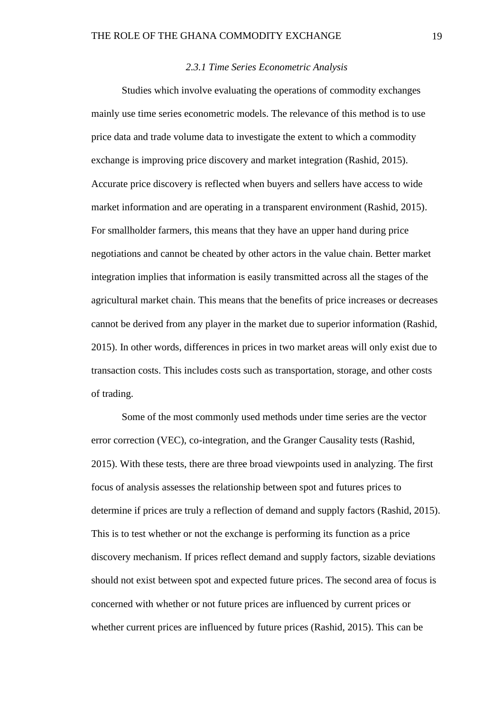#### *2.3.1 Time Series Econometric Analysis*

<span id="page-27-0"></span>Studies which involve evaluating the operations of commodity exchanges mainly use time series econometric models. The relevance of this method is to use price data and trade volume data to investigate the extent to which a commodity exchange is improving price discovery and market integration (Rashid, 2015). Accurate price discovery is reflected when buyers and sellers have access to wide market information and are operating in a transparent environment (Rashid, 2015). For smallholder farmers, this means that they have an upper hand during price negotiations and cannot be cheated by other actors in the value chain. Better market integration implies that information is easily transmitted across all the stages of the agricultural market chain. This means that the benefits of price increases or decreases cannot be derived from any player in the market due to superior information (Rashid, 2015). In other words, differences in prices in two market areas will only exist due to transaction costs. This includes costs such as transportation, storage, and other costs of trading.

Some of the most commonly used methods under time series are the vector error correction (VEC), co-integration, and the Granger Causality tests (Rashid, 2015). With these tests, there are three broad viewpoints used in analyzing. The first focus of analysis assesses the relationship between spot and futures prices to determine if prices are truly a reflection of demand and supply factors (Rashid, 2015). This is to test whether or not the exchange is performing its function as a price discovery mechanism. If prices reflect demand and supply factors, sizable deviations should not exist between spot and expected future prices. The second area of focus is concerned with whether or not future prices are influenced by current prices or whether current prices are influenced by future prices (Rashid, 2015). This can be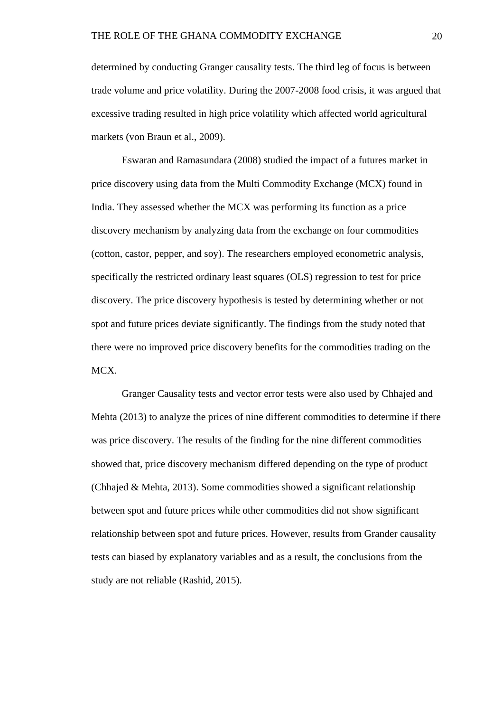determined by conducting Granger causality tests. The third leg of focus is between trade volume and price volatility. During the 2007-2008 food crisis, it was argued that excessive trading resulted in high price volatility which affected world agricultural markets (von Braun et al., 2009).

Eswaran and Ramasundara (2008) studied the impact of a futures market in price discovery using data from the Multi Commodity Exchange (MCX) found in India. They assessed whether the MCX was performing its function as a price discovery mechanism by analyzing data from the exchange on four commodities (cotton, castor, pepper, and soy). The researchers employed econometric analysis, specifically the restricted ordinary least squares (OLS) regression to test for price discovery. The price discovery hypothesis is tested by determining whether or not spot and future prices deviate significantly. The findings from the study noted that there were no improved price discovery benefits for the commodities trading on the MCX.

Granger Causality tests and vector error tests were also used by Chhajed and Mehta (2013) to analyze the prices of nine different commodities to determine if there was price discovery. The results of the finding for the nine different commodities showed that, price discovery mechanism differed depending on the type of product (Chhajed & Mehta, 2013). Some commodities showed a significant relationship between spot and future prices while other commodities did not show significant relationship between spot and future prices. However, results from Grander causality tests can biased by explanatory variables and as a result, the conclusions from the study are not reliable (Rashid, 2015).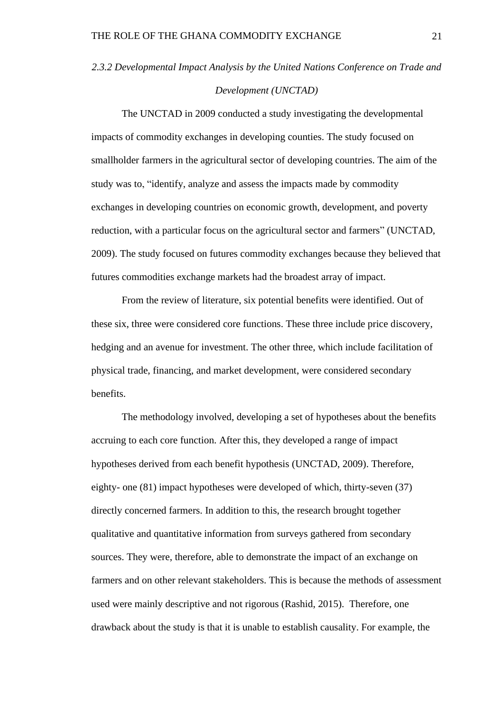# <span id="page-29-0"></span>*2.3.2 Developmental Impact Analysis by the United Nations Conference on Trade and Development (UNCTAD)*

The UNCTAD in 2009 conducted a study investigating the developmental impacts of commodity exchanges in developing counties. The study focused on smallholder farmers in the agricultural sector of developing countries. The aim of the study was to, "identify, analyze and assess the impacts made by commodity exchanges in developing countries on economic growth, development, and poverty reduction, with a particular focus on the agricultural sector and farmers" (UNCTAD, 2009). The study focused on futures commodity exchanges because they believed that futures commodities exchange markets had the broadest array of impact.

From the review of literature, six potential benefits were identified. Out of these six, three were considered core functions. These three include price discovery, hedging and an avenue for investment. The other three, which include facilitation of physical trade, financing, and market development, were considered secondary benefits.

The methodology involved, developing a set of hypotheses about the benefits accruing to each core function. After this, they developed a range of impact hypotheses derived from each benefit hypothesis (UNCTAD, 2009). Therefore, eighty- one (81) impact hypotheses were developed of which, thirty-seven (37) directly concerned farmers. In addition to this, the research brought together qualitative and quantitative information from surveys gathered from secondary sources. They were, therefore, able to demonstrate the impact of an exchange on farmers and on other relevant stakeholders. This is because the methods of assessment used were mainly descriptive and not rigorous (Rashid, 2015). Therefore, one drawback about the study is that it is unable to establish causality. For example, the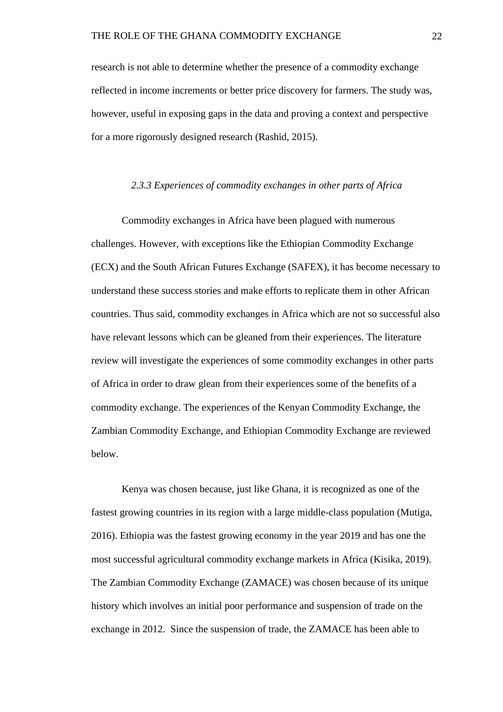research is not able to determine whether the presence of a commodity exchange reflected in income increments or better price discovery for farmers. The study was, however, useful in exposing gaps in the data and proving a context and perspective for a more rigorously designed research (Rashid, 2015).

#### *2.3.3 Experiences of commodity exchanges in other parts of Africa*

<span id="page-30-0"></span>Commodity exchanges in Africa have been plagued with numerous challenges. However, with exceptions like the Ethiopian Commodity Exchange (ECX) and the South African Futures Exchange (SAFEX), it has become necessary to understand these success stories and make efforts to replicate them in other African countries. Thus said, commodity exchanges in Africa which are not so successful also have relevant lessons which can be gleaned from their experiences. The literature review will investigate the experiences of some commodity exchanges in other parts of Africa in order to draw glean from their experiences some of the benefits of a commodity exchange. The experiences of the Kenyan Commodity Exchange, the Zambian Commodity Exchange, and Ethiopian Commodity Exchange are reviewed below.

Kenya was chosen because, just like Ghana, it is recognized as one of the fastest growing countries in its region with a large middle-class population (Mutiga, 2016). Ethiopia was the fastest growing economy in the year 2019 and has one the most successful agricultural commodity exchange markets in Africa (Kisika, 2019). The Zambian Commodity Exchange (ZAMACE) was chosen because of its unique history which involves an initial poor performance and suspension of trade on the exchange in 2012. Since the suspension of trade, the ZAMACE has been able to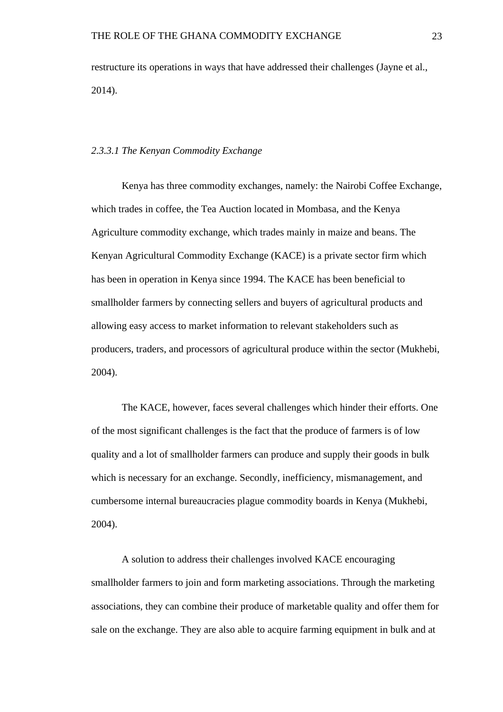restructure its operations in ways that have addressed their challenges (Jayne et al., 2014).

### *2.3.3.1 The Kenyan Commodity Exchange*

Kenya has three commodity exchanges, namely: the Nairobi Coffee Exchange, which trades in coffee, the Tea Auction located in Mombasa, and the Kenya Agriculture commodity exchange, which trades mainly in maize and beans. The Kenyan Agricultural Commodity Exchange (KACE) is a private sector firm which has been in operation in Kenya since 1994. The KACE has been beneficial to smallholder farmers by connecting sellers and buyers of agricultural products and allowing easy access to market information to relevant stakeholders such as producers, traders, and processors of agricultural produce within the sector (Mukhebi, 2004).

The KACE, however, faces several challenges which hinder their efforts. One of the most significant challenges is the fact that the produce of farmers is of low quality and a lot of smallholder farmers can produce and supply their goods in bulk which is necessary for an exchange. Secondly, inefficiency, mismanagement, and cumbersome internal bureaucracies plague commodity boards in Kenya (Mukhebi, 2004).

A solution to address their challenges involved KACE encouraging smallholder farmers to join and form marketing associations. Through the marketing associations, they can combine their produce of marketable quality and offer them for sale on the exchange. They are also able to acquire farming equipment in bulk and at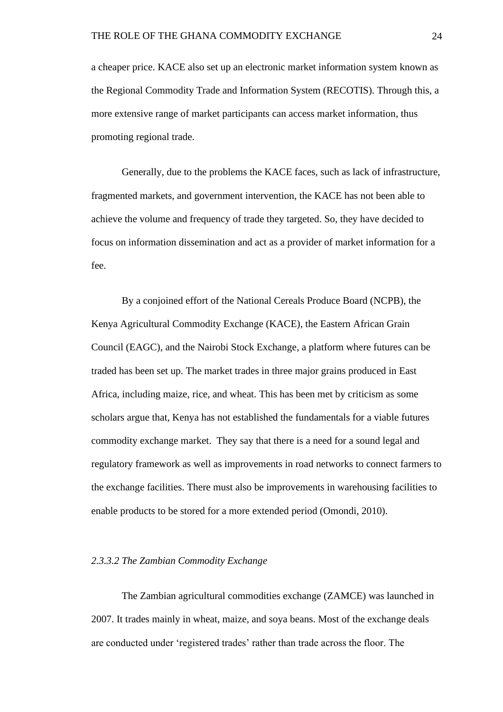a cheaper price. KACE also set up an electronic market information system known as the Regional Commodity Trade and Information System (RECOTIS). Through this, a more extensive range of market participants can access market information, thus promoting regional trade.

Generally, due to the problems the KACE faces, such as lack of infrastructure, fragmented markets, and government intervention, the KACE has not been able to achieve the volume and frequency of trade they targeted. So, they have decided to focus on information dissemination and act as a provider of market information for a fee.

By a conjoined effort of the National Cereals Produce Board (NCPB), the Kenya Agricultural Commodity Exchange (KACE), the Eastern African Grain Council (EAGC), and the Nairobi Stock Exchange, a platform where futures can be traded has been set up. The market trades in three major grains produced in East Africa, including maize, rice, and wheat. This has been met by criticism as some scholars argue that, Kenya has not established the fundamentals for a viable futures commodity exchange market. They say that there is a need for a sound legal and regulatory framework as well as improvements in road networks to connect farmers to the exchange facilities. There must also be improvements in warehousing facilities to enable products to be stored for a more extended period (Omondi, 2010).

## *2.3.3.2 The Zambian Commodity Exchange*

The Zambian agricultural commodities exchange (ZAMCE) was launched in 2007. It trades mainly in wheat, maize, and soya beans. Most of the exchange deals are conducted under 'registered trades' rather than trade across the floor. The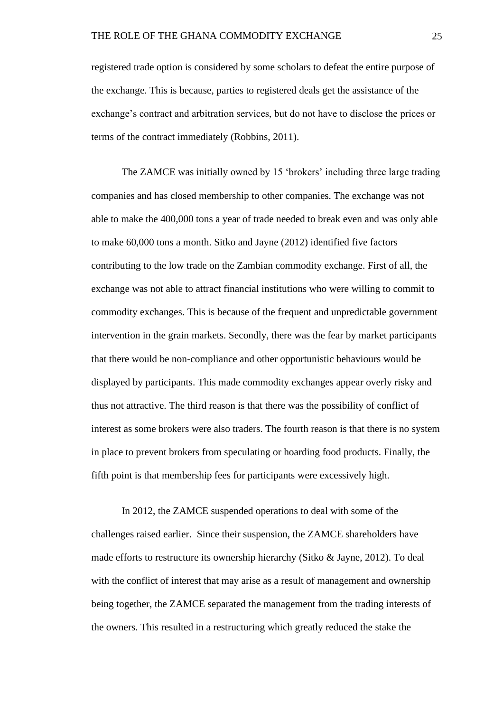registered trade option is considered by some scholars to defeat the entire purpose of the exchange. This is because, parties to registered deals get the assistance of the exchange's contract and arbitration services, but do not have to disclose the prices or terms of the contract immediately (Robbins, 2011).

The ZAMCE was initially owned by 15 'brokers' including three large trading companies and has closed membership to other companies. The exchange was not able to make the 400,000 tons a year of trade needed to break even and was only able to make 60,000 tons a month. Sitko and Jayne (2012) identified five factors contributing to the low trade on the Zambian commodity exchange. First of all, the exchange was not able to attract financial institutions who were willing to commit to commodity exchanges. This is because of the frequent and unpredictable government intervention in the grain markets. Secondly, there was the fear by market participants that there would be non-compliance and other opportunistic behaviours would be displayed by participants. This made commodity exchanges appear overly risky and thus not attractive. The third reason is that there was the possibility of conflict of interest as some brokers were also traders. The fourth reason is that there is no system in place to prevent brokers from speculating or hoarding food products. Finally, the fifth point is that membership fees for participants were excessively high.

In 2012, the ZAMCE suspended operations to deal with some of the challenges raised earlier. Since their suspension, the ZAMCE shareholders have made efforts to restructure its ownership hierarchy (Sitko  $\&$  Jayne, 2012). To deal with the conflict of interest that may arise as a result of management and ownership being together, the ZAMCE separated the management from the trading interests of the owners. This resulted in a restructuring which greatly reduced the stake the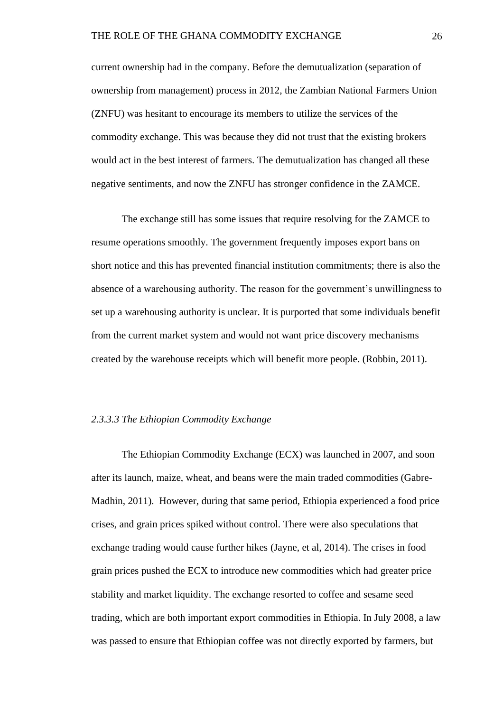current ownership had in the company. Before the demutualization (separation of ownership from management) process in 2012, the Zambian National Farmers Union (ZNFU) was hesitant to encourage its members to utilize the services of the commodity exchange. This was because they did not trust that the existing brokers would act in the best interest of farmers. The demutualization has changed all these negative sentiments, and now the ZNFU has stronger confidence in the ZAMCE.

The exchange still has some issues that require resolving for the ZAMCE to resume operations smoothly. The government frequently imposes export bans on short notice and this has prevented financial institution commitments; there is also the absence of a warehousing authority. The reason for the government's unwillingness to set up a warehousing authority is unclear. It is purported that some individuals benefit from the current market system and would not want price discovery mechanisms created by the warehouse receipts which will benefit more people. (Robbin, 2011).

#### *2.3.3.3 The Ethiopian Commodity Exchange*

The Ethiopian Commodity Exchange (ECX) was launched in 2007, and soon after its launch, maize, wheat, and beans were the main traded commodities (Gabre-Madhin, 2011). However, during that same period, Ethiopia experienced a food price crises, and grain prices spiked without control. There were also speculations that exchange trading would cause further hikes (Jayne, et al, 2014). The crises in food grain prices pushed the ECX to introduce new commodities which had greater price stability and market liquidity. The exchange resorted to coffee and sesame seed trading, which are both important export commodities in Ethiopia. In July 2008, a law was passed to ensure that Ethiopian coffee was not directly exported by farmers, but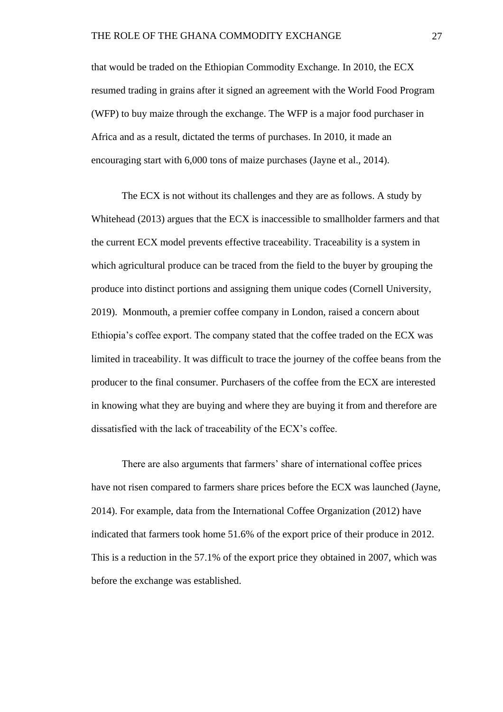that would be traded on the Ethiopian Commodity Exchange. In 2010, the ECX resumed trading in grains after it signed an agreement with the World Food Program (WFP) to buy maize through the exchange. The WFP is a major food purchaser in Africa and as a result, dictated the terms of purchases. In 2010, it made an encouraging start with 6,000 tons of maize purchases (Jayne et al., 2014).

The ECX is not without its challenges and they are as follows. A study by Whitehead (2013) argues that the ECX is inaccessible to smallholder farmers and that the current ECX model prevents effective traceability. Traceability is a system in which agricultural produce can be traced from the field to the buyer by grouping the produce into distinct portions and assigning them unique codes (Cornell University, 2019). Monmouth, a premier coffee company in London, raised a concern about Ethiopia's coffee export. The company stated that the coffee traded on the ECX was limited in traceability. It was difficult to trace the journey of the coffee beans from the producer to the final consumer. Purchasers of the coffee from the ECX are interested in knowing what they are buying and where they are buying it from and therefore are dissatisfied with the lack of traceability of the ECX's coffee.

There are also arguments that farmers' share of international coffee prices have not risen compared to farmers share prices before the ECX was launched (Jayne, 2014). For example, data from the International Coffee Organization (2012) have indicated that farmers took home 51.6% of the export price of their produce in 2012. This is a reduction in the 57.1% of the export price they obtained in 2007, which was before the exchange was established.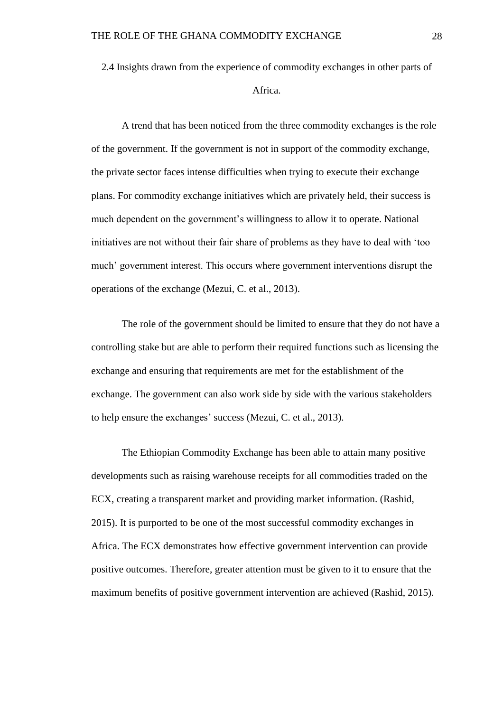2.4 Insights drawn from the experience of commodity exchanges in other parts of Africa.

A trend that has been noticed from the three commodity exchanges is the role of the government. If the government is not in support of the commodity exchange, the private sector faces intense difficulties when trying to execute their exchange plans. For commodity exchange initiatives which are privately held, their success is much dependent on the government's willingness to allow it to operate. National initiatives are not without their fair share of problems as they have to deal with 'too much' government interest. This occurs where government interventions disrupt the operations of the exchange (Mezui, C. et al., 2013).

The role of the government should be limited to ensure that they do not have a controlling stake but are able to perform their required functions such as licensing the exchange and ensuring that requirements are met for the establishment of the exchange. The government can also work side by side with the various stakeholders to help ensure the exchanges' success (Mezui, C. et al., 2013).

The Ethiopian Commodity Exchange has been able to attain many positive developments such as raising warehouse receipts for all commodities traded on the ECX, creating a transparent market and providing market information. (Rashid, 2015). It is purported to be one of the most successful commodity exchanges in Africa. The ECX demonstrates how effective government intervention can provide positive outcomes. Therefore, greater attention must be given to it to ensure that the maximum benefits of positive government intervention are achieved (Rashid, 2015).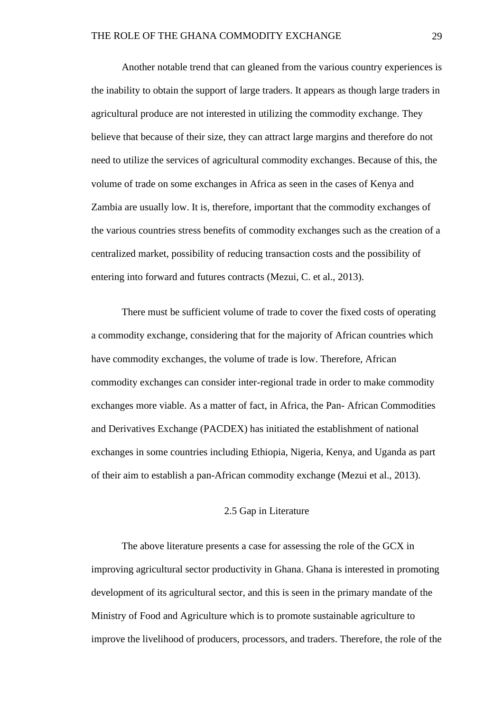Another notable trend that can gleaned from the various country experiences is the inability to obtain the support of large traders. It appears as though large traders in agricultural produce are not interested in utilizing the commodity exchange. They believe that because of their size, they can attract large margins and therefore do not need to utilize the services of agricultural commodity exchanges. Because of this, the volume of trade on some exchanges in Africa as seen in the cases of Kenya and Zambia are usually low. It is, therefore, important that the commodity exchanges of the various countries stress benefits of commodity exchanges such as the creation of a centralized market, possibility of reducing transaction costs and the possibility of entering into forward and futures contracts (Mezui, C. et al., 2013).

There must be sufficient volume of trade to cover the fixed costs of operating a commodity exchange, considering that for the majority of African countries which have commodity exchanges, the volume of trade is low. Therefore, African commodity exchanges can consider inter-regional trade in order to make commodity exchanges more viable. As a matter of fact, in Africa, the Pan- African Commodities and Derivatives Exchange (PACDEX) has initiated the establishment of national exchanges in some countries including Ethiopia, Nigeria, Kenya, and Uganda as part of their aim to establish a pan-African commodity exchange (Mezui et al., 2013).

## 2.5 Gap in Literature

The above literature presents a case for assessing the role of the GCX in improving agricultural sector productivity in Ghana. Ghana is interested in promoting development of its agricultural sector, and this is seen in the primary mandate of the Ministry of Food and Agriculture which is to promote sustainable agriculture to improve the livelihood of producers, processors, and traders. Therefore, the role of the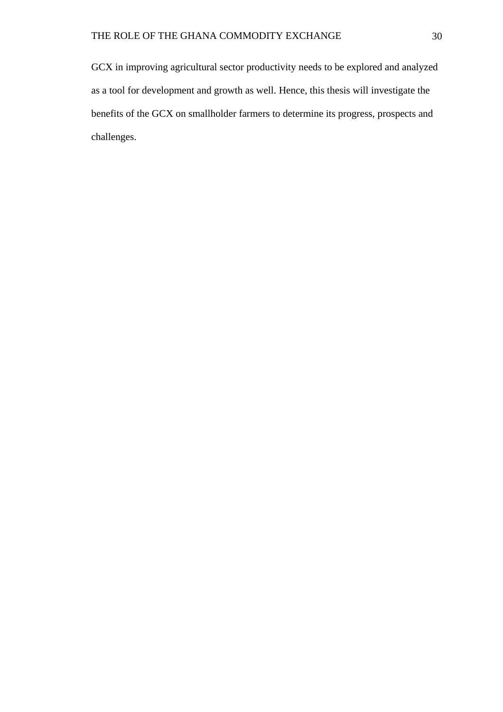GCX in improving agricultural sector productivity needs to be explored and analyzed as a tool for development and growth as well. Hence, this thesis will investigate the benefits of the GCX on smallholder farmers to determine its progress, prospects and challenges.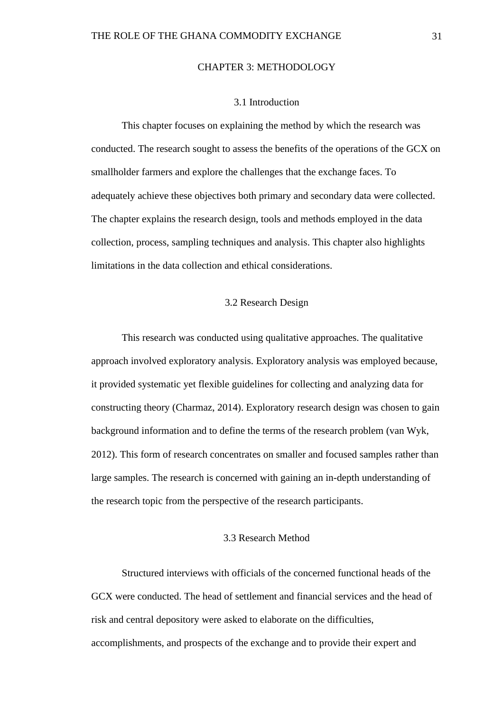## CHAPTER 3: METHODOLOGY

## 3.1 Introduction

This chapter focuses on explaining the method by which the research was conducted. The research sought to assess the benefits of the operations of the GCX on smallholder farmers and explore the challenges that the exchange faces. To adequately achieve these objectives both primary and secondary data were collected. The chapter explains the research design, tools and methods employed in the data collection, process, sampling techniques and analysis. This chapter also highlights limitations in the data collection and ethical considerations.

## 3.2 Research Design

This research was conducted using qualitative approaches. The qualitative approach involved exploratory analysis. Exploratory analysis was employed because, it provided systematic yet flexible guidelines for collecting and analyzing data for constructing theory (Charmaz, 2014). Exploratory research design was chosen to gain background information and to define the terms of the research problem (van Wyk, 2012). This form of research concentrates on smaller and focused samples rather than large samples. The research is concerned with gaining an in-depth understanding of the research topic from the perspective of the research participants.

## 3.3 Research Method

Structured interviews with officials of the concerned functional heads of the GCX were conducted. The head of settlement and financial services and the head of risk and central depository were asked to elaborate on the difficulties, accomplishments, and prospects of the exchange and to provide their expert and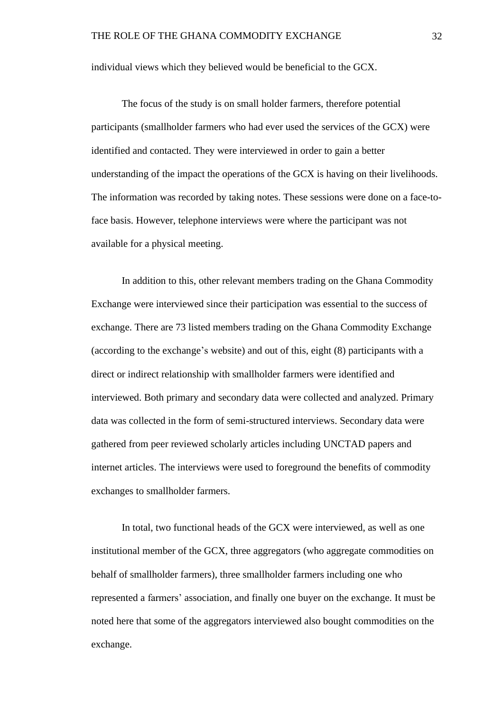individual views which they believed would be beneficial to the GCX.

The focus of the study is on small holder farmers, therefore potential participants (smallholder farmers who had ever used the services of the GCX) were identified and contacted. They were interviewed in order to gain a better understanding of the impact the operations of the GCX is having on their livelihoods. The information was recorded by taking notes. These sessions were done on a face-toface basis. However, telephone interviews were where the participant was not available for a physical meeting.

In addition to this, other relevant members trading on the Ghana Commodity Exchange were interviewed since their participation was essential to the success of exchange. There are 73 listed members trading on the Ghana Commodity Exchange (according to the exchange's website) and out of this, eight (8) participants with a direct or indirect relationship with smallholder farmers were identified and interviewed. Both primary and secondary data were collected and analyzed. Primary data was collected in the form of semi-structured interviews. Secondary data were gathered from peer reviewed scholarly articles including UNCTAD papers and internet articles. The interviews were used to foreground the benefits of commodity exchanges to smallholder farmers.

In total, two functional heads of the GCX were interviewed, as well as one institutional member of the GCX, three aggregators (who aggregate commodities on behalf of smallholder farmers), three smallholder farmers including one who represented a farmers' association, and finally one buyer on the exchange. It must be noted here that some of the aggregators interviewed also bought commodities on the exchange.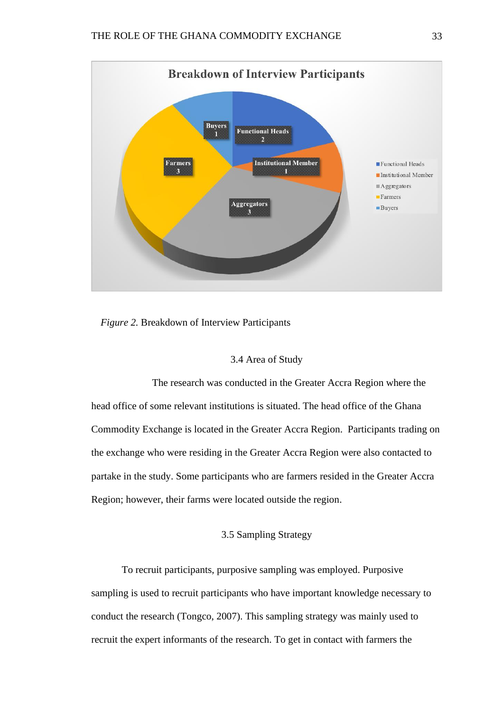

*Figure 2.* Breakdown of Interview Participants

## 3.4 Area of Study

The research was conducted in the Greater Accra Region where the head office of some relevant institutions is situated. The head office of the Ghana Commodity Exchange is located in the Greater Accra Region. Participants trading on the exchange who were residing in the Greater Accra Region were also contacted to partake in the study. Some participants who are farmers resided in the Greater Accra Region; however, their farms were located outside the region.

# 3.5 Sampling Strategy

To recruit participants, purposive sampling was employed. Purposive sampling is used to recruit participants who have important knowledge necessary to conduct the research (Tongco, 2007). This sampling strategy was mainly used to recruit the expert informants of the research. To get in contact with farmers the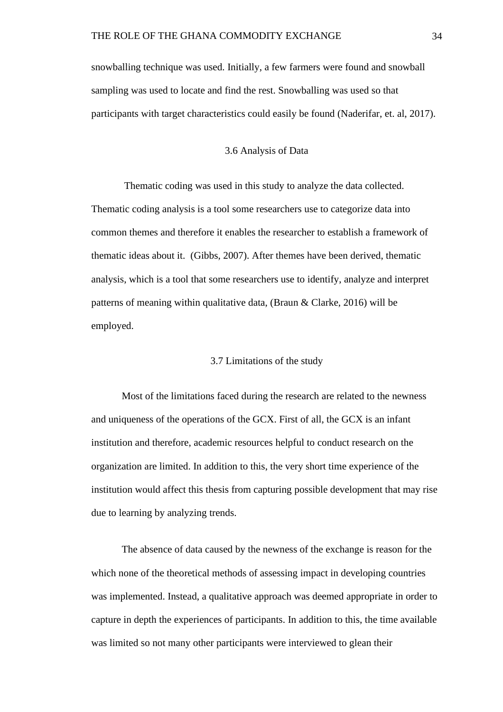snowballing technique was used. Initially, a few farmers were found and snowball sampling was used to locate and find the rest. Snowballing was used so that participants with target characteristics could easily be found (Naderifar, et. al, 2017).

#### 3.6 Analysis of Data

Thematic coding was used in this study to analyze the data collected. Thematic coding analysis is a tool some researchers use to categorize data into common themes and therefore it enables the researcher to establish a framework of thematic ideas about it. (Gibbs, 2007). After themes have been derived, thematic analysis, which is a tool that some researchers use to identify, analyze and interpret patterns of meaning within qualitative data, (Braun & Clarke, 2016) will be employed.

## 3.7 Limitations of the study

Most of the limitations faced during the research are related to the newness and uniqueness of the operations of the GCX. First of all, the GCX is an infant institution and therefore, academic resources helpful to conduct research on the organization are limited. In addition to this, the very short time experience of the institution would affect this thesis from capturing possible development that may rise due to learning by analyzing trends.

The absence of data caused by the newness of the exchange is reason for the which none of the theoretical methods of assessing impact in developing countries was implemented. Instead, a qualitative approach was deemed appropriate in order to capture in depth the experiences of participants. In addition to this, the time available was limited so not many other participants were interviewed to glean their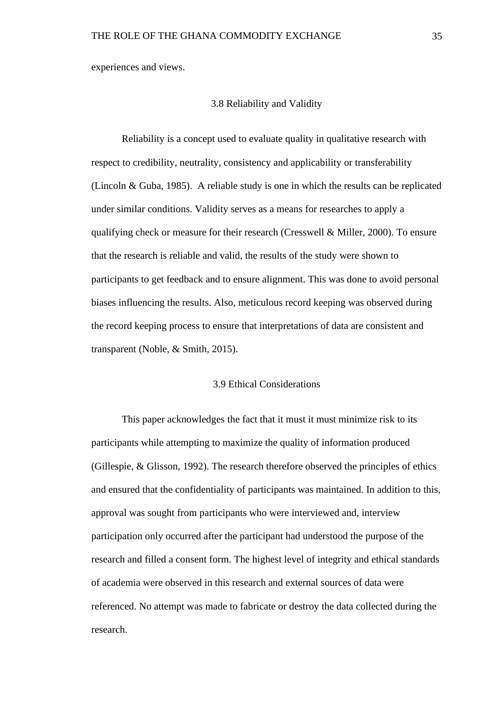experiences and views.

## 3.8 Reliability and Validity

Reliability is a concept used to evaluate quality in qualitative research with respect to credibility, neutrality, consistency and applicability or transferability (Lincoln & Guba, 1985). A reliable study is one in which the results can be replicated under similar conditions. Validity serves as a means for researches to apply a qualifying check or measure for their research (Cresswell & Miller, 2000). To ensure that the research is reliable and valid, the results of the study were shown to participants to get feedback and to ensure alignment. This was done to avoid personal biases influencing the results. Also, meticulous record keeping was observed during the record keeping process to ensure that interpretations of data are consistent and transparent (Noble, & Smith, 2015).

# 3.9 Ethical Considerations

This paper acknowledges the fact that it must it must minimize risk to its participants while attempting to maximize the quality of information produced (Gillespie, & Glisson, 1992). The research therefore observed the principles of ethics and ensured that the confidentiality of participants was maintained. In addition to this, approval was sought from participants who were interviewed and, interview participation only occurred after the participant had understood the purpose of the research and filled a consent form. The highest level of integrity and ethical standards of academia were observed in this research and external sources of data were referenced. No attempt was made to fabricate or destroy the data collected during the research.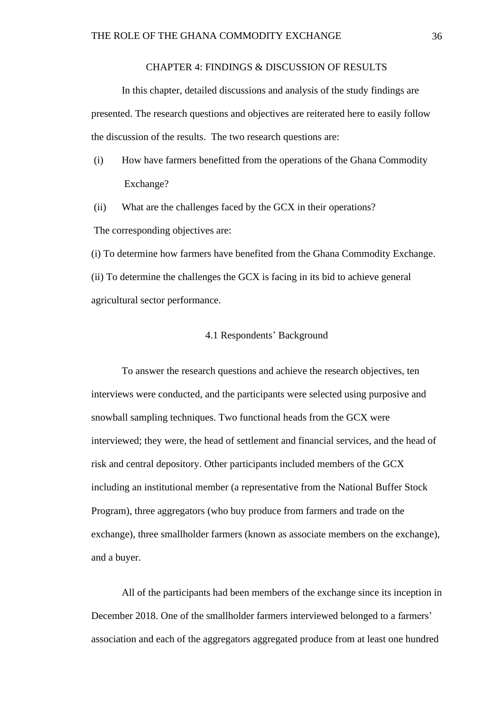#### CHAPTER 4: FINDINGS & DISCUSSION OF RESULTS

In this chapter, detailed discussions and analysis of the study findings are presented. The research questions and objectives are reiterated here to easily follow the discussion of the results. The two research questions are:

- (i) How have farmers benefitted from the operations of the Ghana Commodity Exchange?
- (ii) What are the challenges faced by the GCX in their operations? The corresponding objectives are:

(i) To determine how farmers have benefited from the Ghana Commodity Exchange. (ii) To determine the challenges the GCX is facing in its bid to achieve general agricultural sector performance.

#### 4.1 Respondents' Background

To answer the research questions and achieve the research objectives, ten interviews were conducted, and the participants were selected using purposive and snowball sampling techniques. Two functional heads from the GCX were interviewed; they were, the head of settlement and financial services, and the head of risk and central depository. Other participants included members of the GCX including an institutional member (a representative from the National Buffer Stock Program), three aggregators (who buy produce from farmers and trade on the exchange), three smallholder farmers (known as associate members on the exchange), and a buyer.

All of the participants had been members of the exchange since its inception in December 2018. One of the smallholder farmers interviewed belonged to a farmers' association and each of the aggregators aggregated produce from at least one hundred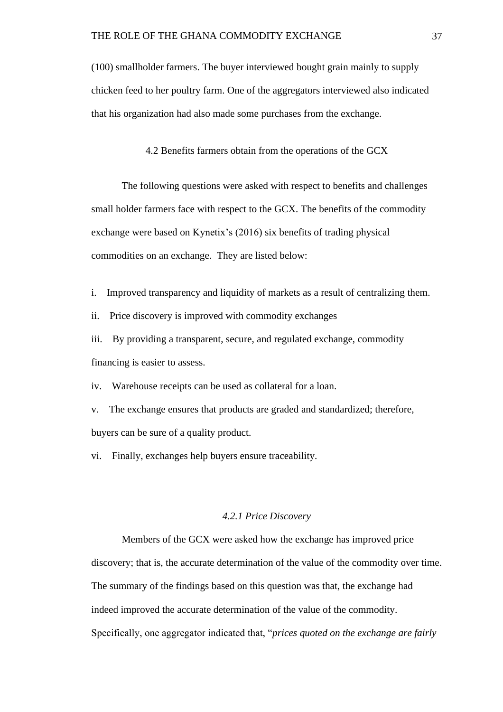(100) smallholder farmers. The buyer interviewed bought grain mainly to supply chicken feed to her poultry farm. One of the aggregators interviewed also indicated that his organization had also made some purchases from the exchange.

4.2 Benefits farmers obtain from the operations of the GCX

The following questions were asked with respect to benefits and challenges small holder farmers face with respect to the GCX. The benefits of the commodity exchange were based on Kynetix's (2016) six benefits of trading physical commodities on an exchange. They are listed below:

i. Improved transparency and liquidity of markets as a result of centralizing them.

ii. Price discovery is improved with commodity exchanges

iii. By providing a transparent, secure, and regulated exchange, commodity financing is easier to assess.

iv. Warehouse receipts can be used as collateral for a loan.

v. The exchange ensures that products are graded and standardized; therefore, buyers can be sure of a quality product.

vi. Finally, exchanges help buyers ensure traceability.

#### *4.2.1 Price Discovery*

Members of the GCX were asked how the exchange has improved price discovery; that is, the accurate determination of the value of the commodity over time. The summary of the findings based on this question was that, the exchange had indeed improved the accurate determination of the value of the commodity. Specifically, one aggregator indicated that, "*prices quoted on the exchange are fairly*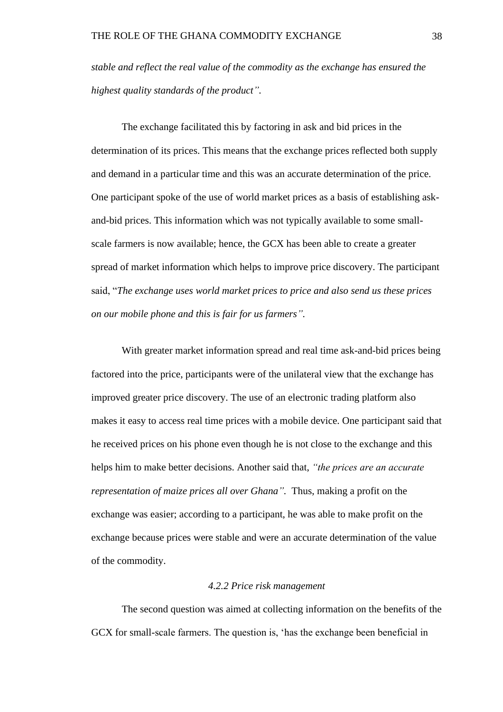*stable and reflect the real value of the commodity as the exchange has ensured the highest quality standards of the product".* 

The exchange facilitated this by factoring in ask and bid prices in the determination of its prices. This means that the exchange prices reflected both supply and demand in a particular time and this was an accurate determination of the price. One participant spoke of the use of world market prices as a basis of establishing askand-bid prices. This information which was not typically available to some smallscale farmers is now available; hence, the GCX has been able to create a greater spread of market information which helps to improve price discovery. The participant said, "*The exchange uses world market prices to price and also send us these prices on our mobile phone and this is fair for us farmers".* 

With greater market information spread and real time ask-and-bid prices being factored into the price, participants were of the unilateral view that the exchange has improved greater price discovery. The use of an electronic trading platform also makes it easy to access real time prices with a mobile device. One participant said that he received prices on his phone even though he is not close to the exchange and this helps him to make better decisions. Another said that, *"the prices are an accurate representation of maize prices all over Ghana".* Thus, making a profit on the exchange was easier; according to a participant, he was able to make profit on the exchange because prices were stable and were an accurate determination of the value of the commodity.

#### *4.2.2 Price risk management*

The second question was aimed at collecting information on the benefits of the GCX for small-scale farmers. The question is, 'has the exchange been beneficial in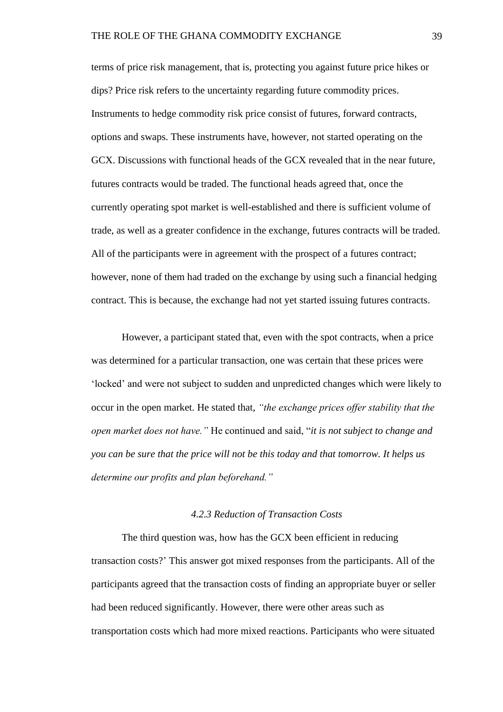terms of price risk management, that is, protecting you against future price hikes or dips? Price risk refers to the uncertainty regarding future commodity prices. Instruments to hedge commodity risk price consist of futures, forward contracts, options and swaps. These instruments have, however, not started operating on the GCX. Discussions with functional heads of the GCX revealed that in the near future, futures contracts would be traded. The functional heads agreed that, once the currently operating spot market is well-established and there is sufficient volume of trade, as well as a greater confidence in the exchange, futures contracts will be traded. All of the participants were in agreement with the prospect of a futures contract; however, none of them had traded on the exchange by using such a financial hedging contract. This is because, the exchange had not yet started issuing futures contracts.

However, a participant stated that, even with the spot contracts, when a price was determined for a particular transaction, one was certain that these prices were 'locked' and were not subject to sudden and unpredicted changes which were likely to occur in the open market. He stated that, *"the exchange prices offer stability that the open market does not have."* He continued and said, "*it is not subject to change and you can be sure that the price will not be this today and that tomorrow. It helps us determine our profits and plan beforehand."*

## *4.2.3 Reduction of Transaction Costs*

The third question was, how has the GCX been efficient in reducing transaction costs?' This answer got mixed responses from the participants. All of the participants agreed that the transaction costs of finding an appropriate buyer or seller had been reduced significantly. However, there were other areas such as transportation costs which had more mixed reactions. Participants who were situated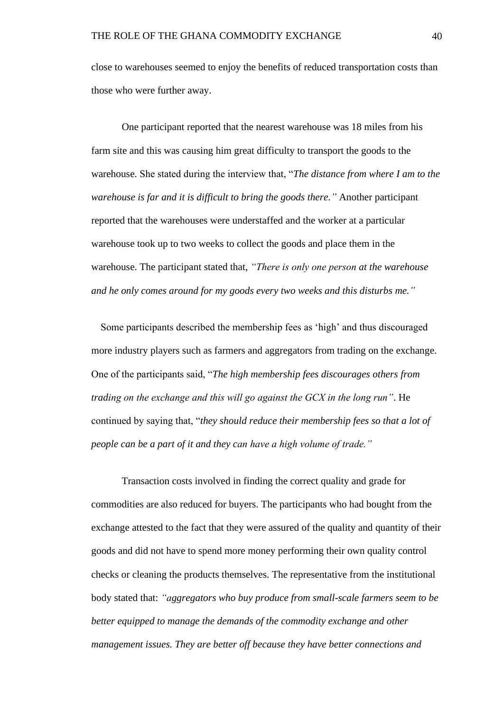close to warehouses seemed to enjoy the benefits of reduced transportation costs than those who were further away.

One participant reported that the nearest warehouse was 18 miles from his farm site and this was causing him great difficulty to transport the goods to the warehouse. She stated during the interview that, "*The distance from where I am to the warehouse is far and it is difficult to bring the goods there."* Another participant reported that the warehouses were understaffed and the worker at a particular warehouse took up to two weeks to collect the goods and place them in the warehouse. The participant stated that, *"There is only one person at the warehouse and he only comes around for my goods every two weeks and this disturbs me."*

Some participants described the membership fees as 'high' and thus discouraged more industry players such as farmers and aggregators from trading on the exchange. One of the participants said, "*The high membership fees discourages others from trading on the exchange and this will go against the GCX in the long run"*. He continued by saying that, "*they should reduce their membership fees so that a lot of people can be a part of it and they can have a high volume of trade."*

Transaction costs involved in finding the correct quality and grade for commodities are also reduced for buyers. The participants who had bought from the exchange attested to the fact that they were assured of the quality and quantity of their goods and did not have to spend more money performing their own quality control checks or cleaning the products themselves. The representative from the institutional body stated that: *"aggregators who buy produce from small-scale farmers seem to be better equipped to manage the demands of the commodity exchange and other management issues. They are better off because they have better connections and*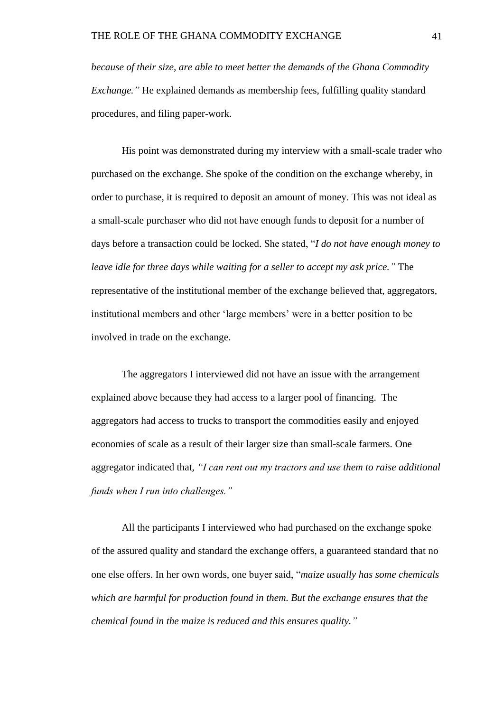*because of their size, are able to meet better the demands of the Ghana Commodity Exchange.*" He explained demands as membership fees, fulfilling quality standard procedures, and filing paper-work.

His point was demonstrated during my interview with a small-scale trader who purchased on the exchange. She spoke of the condition on the exchange whereby, in order to purchase, it is required to deposit an amount of money. This was not ideal as a small-scale purchaser who did not have enough funds to deposit for a number of days before a transaction could be locked. She stated, "*I do not have enough money to leave idle for three days while waiting for a seller to accept my ask price."* The representative of the institutional member of the exchange believed that, aggregators, institutional members and other 'large members' were in a better position to be involved in trade on the exchange.

The aggregators I interviewed did not have an issue with the arrangement explained above because they had access to a larger pool of financing. The aggregators had access to trucks to transport the commodities easily and enjoyed economies of scale as a result of their larger size than small-scale farmers. One aggregator indicated that, *"I can rent out my tractors and use them to raise additional funds when I run into challenges."*

All the participants I interviewed who had purchased on the exchange spoke of the assured quality and standard the exchange offers, a guaranteed standard that no one else offers. In her own words, one buyer said, "*maize usually has some chemicals which are harmful for production found in them. But the exchange ensures that the chemical found in the maize is reduced and this ensures quality."*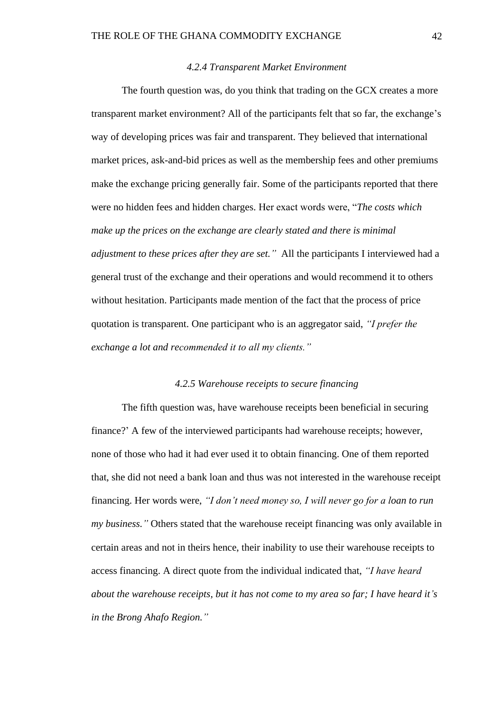## *4.2.4 Transparent Market Environment*

The fourth question was, do you think that trading on the GCX creates a more transparent market environment? All of the participants felt that so far, the exchange's way of developing prices was fair and transparent. They believed that international market prices, ask-and-bid prices as well as the membership fees and other premiums make the exchange pricing generally fair. Some of the participants reported that there were no hidden fees and hidden charges. Her exact words were, "*The costs which make up the prices on the exchange are clearly stated and there is minimal adjustment to these prices after they are set."* All the participants I interviewed had a general trust of the exchange and their operations and would recommend it to others without hesitation. Participants made mention of the fact that the process of price quotation is transparent. One participant who is an aggregator said, *"I prefer the exchange a lot and recommended it to all my clients."*

## *4.2.5 Warehouse receipts to secure financing*

The fifth question was, have warehouse receipts been beneficial in securing finance?' A few of the interviewed participants had warehouse receipts; however, none of those who had it had ever used it to obtain financing. One of them reported that, she did not need a bank loan and thus was not interested in the warehouse receipt financing. Her words were, *"I don't need money so, I will never go for a loan to run my business."* Others stated that the warehouse receipt financing was only available in certain areas and not in theirs hence, their inability to use their warehouse receipts to access financing. A direct quote from the individual indicated that, *"I have heard about the warehouse receipts, but it has not come to my area so far; I have heard it's in the Brong Ahafo Region."*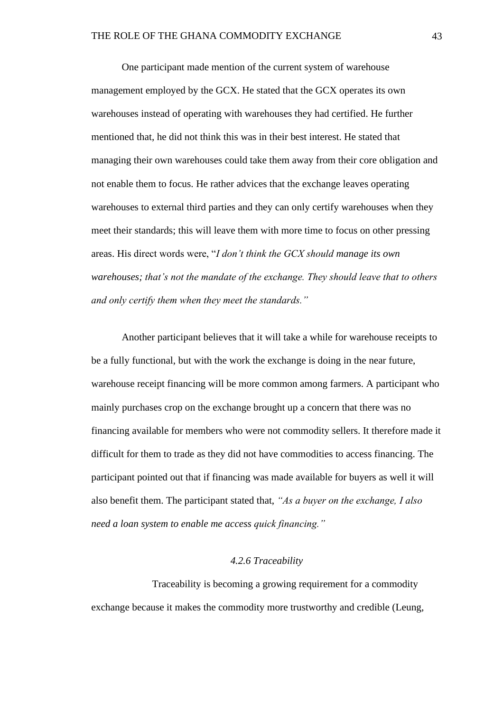One participant made mention of the current system of warehouse management employed by the GCX. He stated that the GCX operates its own warehouses instead of operating with warehouses they had certified. He further mentioned that, he did not think this was in their best interest. He stated that managing their own warehouses could take them away from their core obligation and not enable them to focus. He rather advices that the exchange leaves operating warehouses to external third parties and they can only certify warehouses when they meet their standards; this will leave them with more time to focus on other pressing areas. His direct words were, "*I don't think the GCX should manage its own warehouses; that's not the mandate of the exchange. They should leave that to others and only certify them when they meet the standards."*

Another participant believes that it will take a while for warehouse receipts to be a fully functional, but with the work the exchange is doing in the near future, warehouse receipt financing will be more common among farmers. A participant who mainly purchases crop on the exchange brought up a concern that there was no financing available for members who were not commodity sellers. It therefore made it difficult for them to trade as they did not have commodities to access financing. The participant pointed out that if financing was made available for buyers as well it will also benefit them. The participant stated that, *"As a buyer on the exchange, I also need a loan system to enable me access quick financing."*

# *4.2.6 Traceability*

Traceability is becoming a growing requirement for a commodity exchange because it makes the commodity more trustworthy and credible (Leung,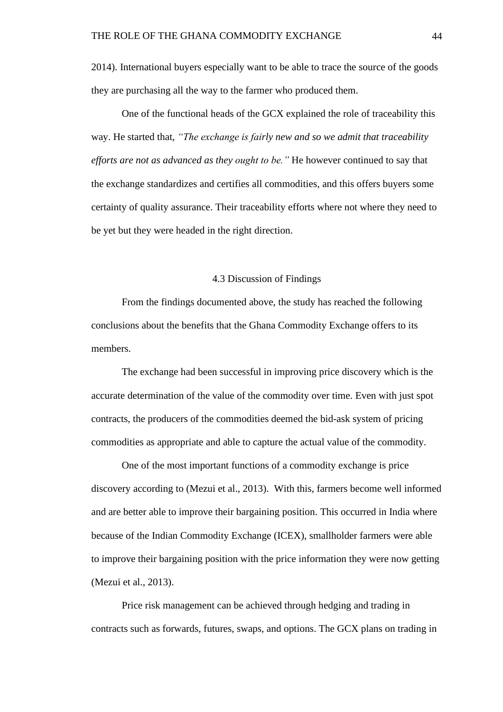2014). International buyers especially want to be able to trace the source of the goods they are purchasing all the way to the farmer who produced them.

One of the functional heads of the GCX explained the role of traceability this way. He started that, *"The exchange is fairly new and so we admit that traceability efforts are not as advanced as they ought to be."* He however continued to say that the exchange standardizes and certifies all commodities, and this offers buyers some certainty of quality assurance. Their traceability efforts where not where they need to be yet but they were headed in the right direction.

## 4.3 Discussion of Findings

From the findings documented above, the study has reached the following conclusions about the benefits that the Ghana Commodity Exchange offers to its members.

The exchange had been successful in improving price discovery which is the accurate determination of the value of the commodity over time. Even with just spot contracts, the producers of the commodities deemed the bid-ask system of pricing commodities as appropriate and able to capture the actual value of the commodity.

One of the most important functions of a commodity exchange is price discovery according to (Mezui et al., 2013). With this, farmers become well informed and are better able to improve their bargaining position. This occurred in India where because of the Indian Commodity Exchange (ICEX), smallholder farmers were able to improve their bargaining position with the price information they were now getting (Mezui et al., 2013).

Price risk management can be achieved through hedging and trading in contracts such as forwards, futures, swaps, and options. The GCX plans on trading in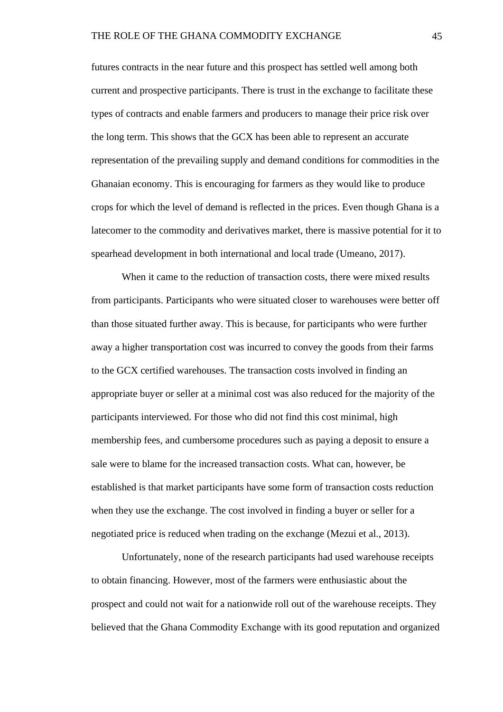futures contracts in the near future and this prospect has settled well among both current and prospective participants. There is trust in the exchange to facilitate these types of contracts and enable farmers and producers to manage their price risk over the long term. This shows that the GCX has been able to represent an accurate representation of the prevailing supply and demand conditions for commodities in the Ghanaian economy. This is encouraging for farmers as they would like to produce crops for which the level of demand is reflected in the prices. Even though Ghana is a latecomer to the commodity and derivatives market, there is massive potential for it to spearhead development in both international and local trade (Umeano, 2017).

When it came to the reduction of transaction costs, there were mixed results from participants. Participants who were situated closer to warehouses were better off than those situated further away. This is because, for participants who were further away a higher transportation cost was incurred to convey the goods from their farms to the GCX certified warehouses. The transaction costs involved in finding an appropriate buyer or seller at a minimal cost was also reduced for the majority of the participants interviewed. For those who did not find this cost minimal, high membership fees, and cumbersome procedures such as paying a deposit to ensure a sale were to blame for the increased transaction costs. What can, however, be established is that market participants have some form of transaction costs reduction when they use the exchange. The cost involved in finding a buyer or seller for a negotiated price is reduced when trading on the exchange (Mezui et al., 2013).

Unfortunately, none of the research participants had used warehouse receipts to obtain financing. However, most of the farmers were enthusiastic about the prospect and could not wait for a nationwide roll out of the warehouse receipts. They believed that the Ghana Commodity Exchange with its good reputation and organized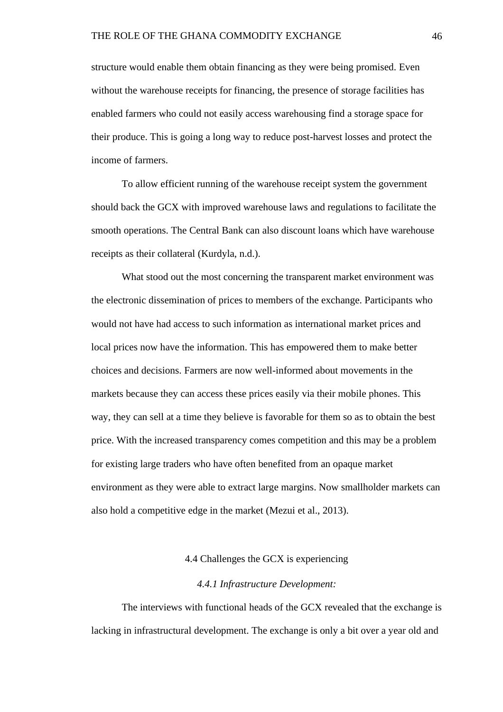structure would enable them obtain financing as they were being promised. Even without the warehouse receipts for financing, the presence of storage facilities has enabled farmers who could not easily access warehousing find a storage space for their produce. This is going a long way to reduce post-harvest losses and protect the income of farmers.

To allow efficient running of the warehouse receipt system the government should back the GCX with improved warehouse laws and regulations to facilitate the smooth operations. The Central Bank can also discount loans which have warehouse receipts as their collateral (Kurdyla, n.d.).

What stood out the most concerning the transparent market environment was the electronic dissemination of prices to members of the exchange. Participants who would not have had access to such information as international market prices and local prices now have the information. This has empowered them to make better choices and decisions. Farmers are now well-informed about movements in the markets because they can access these prices easily via their mobile phones. This way, they can sell at a time they believe is favorable for them so as to obtain the best price. With the increased transparency comes competition and this may be a problem for existing large traders who have often benefited from an opaque market environment as they were able to extract large margins. Now smallholder markets can also hold a competitive edge in the market (Mezui et al., 2013).

## 4.4 Challenges the GCX is experiencing

#### *4.4.1 Infrastructure Development:*

The interviews with functional heads of the GCX revealed that the exchange is lacking in infrastructural development. The exchange is only a bit over a year old and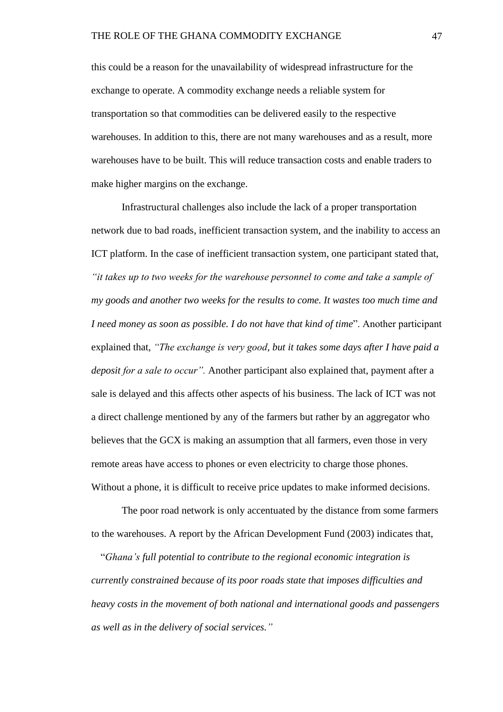this could be a reason for the unavailability of widespread infrastructure for the exchange to operate. A commodity exchange needs a reliable system for transportation so that commodities can be delivered easily to the respective warehouses. In addition to this, there are not many warehouses and as a result, more warehouses have to be built. This will reduce transaction costs and enable traders to make higher margins on the exchange.

Infrastructural challenges also include the lack of a proper transportation network due to bad roads, inefficient transaction system, and the inability to access an ICT platform. In the case of inefficient transaction system, one participant stated that, *"it takes up to two weeks for the warehouse personnel to come and take a sample of my goods and another two weeks for the results to come. It wastes too much time and I need money as soon as possible. I do not have that kind of time*". Another participant explained that, *"The exchange is very good, but it takes some days after I have paid a deposit for a sale to occur".* Another participant also explained that, payment after a sale is delayed and this affects other aspects of his business. The lack of ICT was not a direct challenge mentioned by any of the farmers but rather by an aggregator who believes that the GCX is making an assumption that all farmers, even those in very remote areas have access to phones or even electricity to charge those phones. Without a phone, it is difficult to receive price updates to make informed decisions.

The poor road network is only accentuated by the distance from some farmers to the warehouses. A report by the African Development Fund (2003) indicates that,

"*Ghana's full potential to contribute to the regional economic integration is currently constrained because of its poor roads state that imposes difficulties and heavy costs in the movement of both national and international goods and passengers as well as in the delivery of social services."*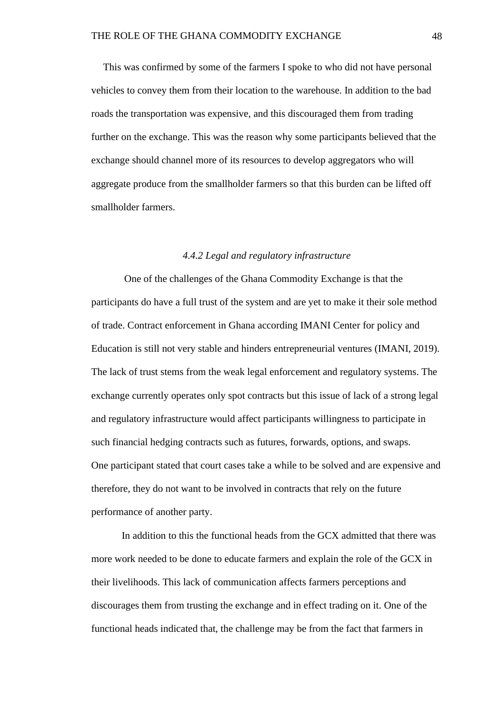This was confirmed by some of the farmers I spoke to who did not have personal vehicles to convey them from their location to the warehouse. In addition to the bad roads the transportation was expensive, and this discouraged them from trading further on the exchange. This was the reason why some participants believed that the exchange should channel more of its resources to develop aggregators who will aggregate produce from the smallholder farmers so that this burden can be lifted off smallholder farmers.

## *4.4.2 Legal and regulatory infrastructure*

One of the challenges of the Ghana Commodity Exchange is that the participants do have a full trust of the system and are yet to make it their sole method of trade. Contract enforcement in Ghana according IMANI Center for policy and Education is still not very stable and hinders entrepreneurial ventures (IMANI, 2019). The lack of trust stems from the weak legal enforcement and regulatory systems. The exchange currently operates only spot contracts but this issue of lack of a strong legal and regulatory infrastructure would affect participants willingness to participate in such financial hedging contracts such as futures, forwards, options, and swaps. One participant stated that court cases take a while to be solved and are expensive and therefore, they do not want to be involved in contracts that rely on the future performance of another party.

In addition to this the functional heads from the GCX admitted that there was more work needed to be done to educate farmers and explain the role of the GCX in their livelihoods. This lack of communication affects farmers perceptions and discourages them from trusting the exchange and in effect trading on it. One of the functional heads indicated that, the challenge may be from the fact that farmers in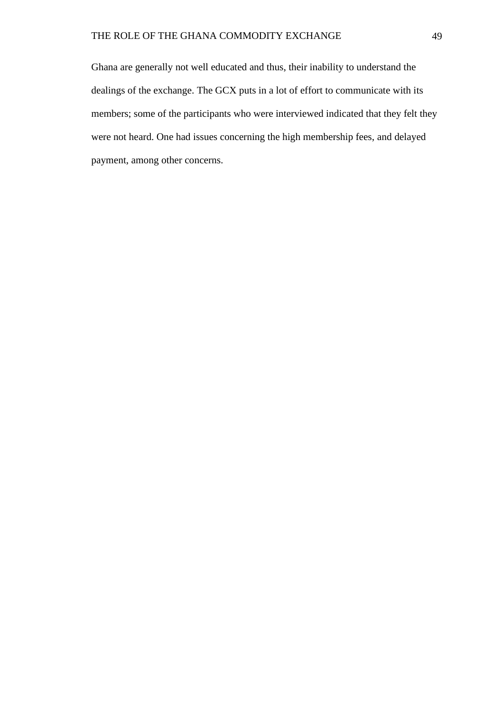Ghana are generally not well educated and thus, their inability to understand the dealings of the exchange. The GCX puts in a lot of effort to communicate with its members; some of the participants who were interviewed indicated that they felt they were not heard. One had issues concerning the high membership fees, and delayed payment, among other concerns.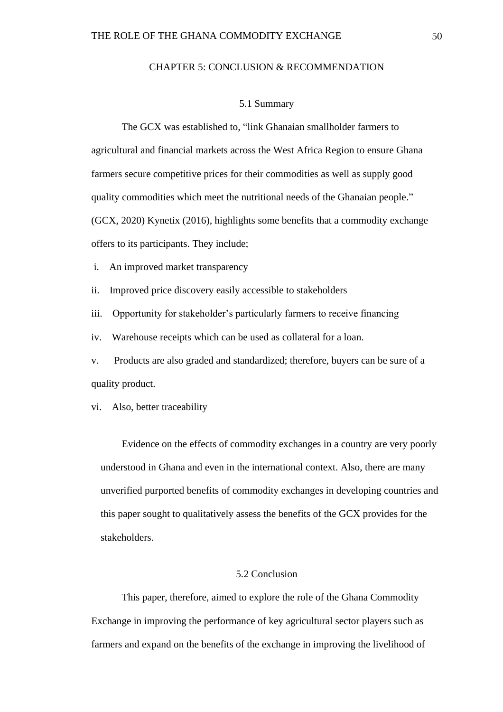#### CHAPTER 5: CONCLUSION & RECOMMENDATION

#### 5.1 Summary

The GCX was established to, "link Ghanaian smallholder farmers to agricultural and financial markets across the West Africa Region to ensure Ghana farmers secure competitive prices for their commodities as well as supply good quality commodities which meet the nutritional needs of the Ghanaian people." (GCX, 2020) Kynetix (2016), highlights some benefits that a commodity exchange offers to its participants. They include;

- i. An improved market transparency
- ii. Improved price discovery easily accessible to stakeholders

iii. Opportunity for stakeholder's particularly farmers to receive financing

iv. Warehouse receipts which can be used as collateral for a loan.

v. Products are also graded and standardized; therefore, buyers can be sure of a quality product.

vi. Also, better traceability

Evidence on the effects of commodity exchanges in a country are very poorly understood in Ghana and even in the international context. Also, there are many unverified purported benefits of commodity exchanges in developing countries and this paper sought to qualitatively assess the benefits of the GCX provides for the stakeholders.

# 5.2 Conclusion

This paper, therefore, aimed to explore the role of the Ghana Commodity Exchange in improving the performance of key agricultural sector players such as farmers and expand on the benefits of the exchange in improving the livelihood of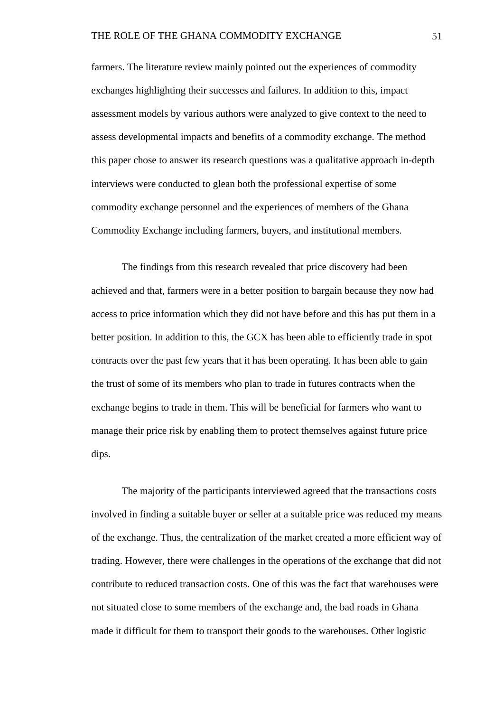farmers. The literature review mainly pointed out the experiences of commodity exchanges highlighting their successes and failures. In addition to this, impact assessment models by various authors were analyzed to give context to the need to assess developmental impacts and benefits of a commodity exchange. The method this paper chose to answer its research questions was a qualitative approach in-depth interviews were conducted to glean both the professional expertise of some commodity exchange personnel and the experiences of members of the Ghana Commodity Exchange including farmers, buyers, and institutional members.

The findings from this research revealed that price discovery had been achieved and that, farmers were in a better position to bargain because they now had access to price information which they did not have before and this has put them in a better position. In addition to this, the GCX has been able to efficiently trade in spot contracts over the past few years that it has been operating. It has been able to gain the trust of some of its members who plan to trade in futures contracts when the exchange begins to trade in them. This will be beneficial for farmers who want to manage their price risk by enabling them to protect themselves against future price dips.

The majority of the participants interviewed agreed that the transactions costs involved in finding a suitable buyer or seller at a suitable price was reduced my means of the exchange. Thus, the centralization of the market created a more efficient way of trading. However, there were challenges in the operations of the exchange that did not contribute to reduced transaction costs. One of this was the fact that warehouses were not situated close to some members of the exchange and, the bad roads in Ghana made it difficult for them to transport their goods to the warehouses. Other logistic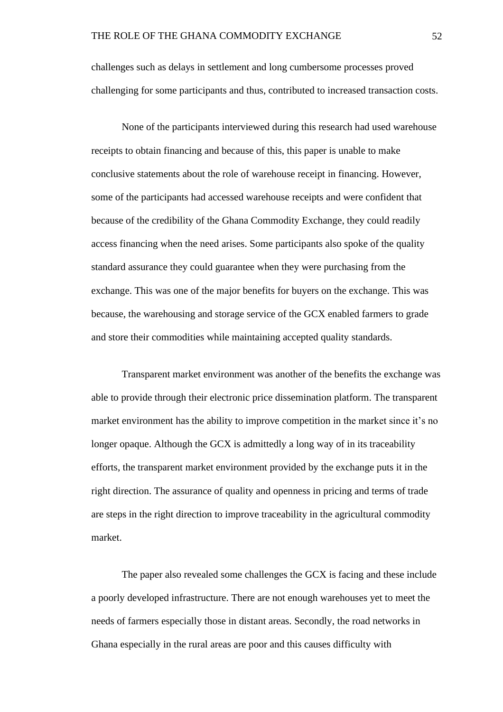challenges such as delays in settlement and long cumbersome processes proved challenging for some participants and thus, contributed to increased transaction costs.

None of the participants interviewed during this research had used warehouse receipts to obtain financing and because of this, this paper is unable to make conclusive statements about the role of warehouse receipt in financing. However, some of the participants had accessed warehouse receipts and were confident that because of the credibility of the Ghana Commodity Exchange, they could readily access financing when the need arises. Some participants also spoke of the quality standard assurance they could guarantee when they were purchasing from the exchange. This was one of the major benefits for buyers on the exchange. This was because, the warehousing and storage service of the GCX enabled farmers to grade and store their commodities while maintaining accepted quality standards.

Transparent market environment was another of the benefits the exchange was able to provide through their electronic price dissemination platform. The transparent market environment has the ability to improve competition in the market since it's no longer opaque. Although the GCX is admittedly a long way of in its traceability efforts, the transparent market environment provided by the exchange puts it in the right direction. The assurance of quality and openness in pricing and terms of trade are steps in the right direction to improve traceability in the agricultural commodity market.

The paper also revealed some challenges the GCX is facing and these include a poorly developed infrastructure. There are not enough warehouses yet to meet the needs of farmers especially those in distant areas. Secondly, the road networks in Ghana especially in the rural areas are poor and this causes difficulty with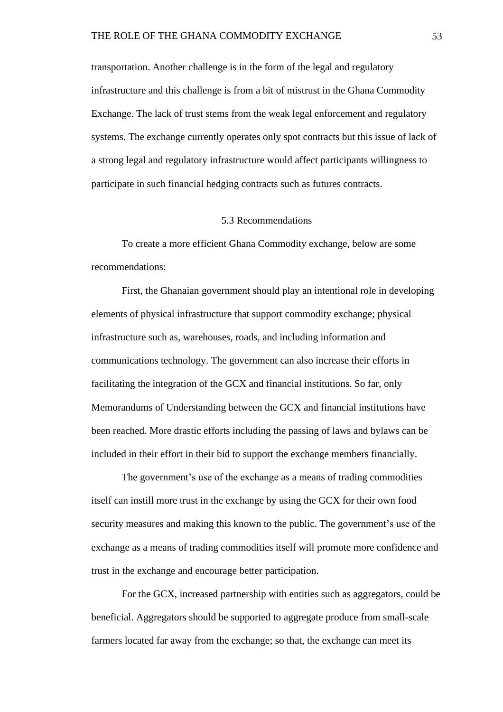transportation. Another challenge is in the form of the legal and regulatory infrastructure and this challenge is from a bit of mistrust in the Ghana Commodity Exchange. The lack of trust stems from the weak legal enforcement and regulatory systems. The exchange currently operates only spot contracts but this issue of lack of a strong legal and regulatory infrastructure would affect participants willingness to participate in such financial hedging contracts such as futures contracts.

#### 5.3 Recommendations

To create a more efficient Ghana Commodity exchange, below are some recommendations:

First, the Ghanaian government should play an intentional role in developing elements of physical infrastructure that support commodity exchange; physical infrastructure such as, warehouses, roads, and including information and communications technology. The government can also increase their efforts in facilitating the integration of the GCX and financial institutions. So far, only Memorandums of Understanding between the GCX and financial institutions have been reached. More drastic efforts including the passing of laws and bylaws can be included in their effort in their bid to support the exchange members financially.

The government's use of the exchange as a means of trading commodities itself can instill more trust in the exchange by using the GCX for their own food security measures and making this known to the public. The government's use of the exchange as a means of trading commodities itself will promote more confidence and trust in the exchange and encourage better participation.

For the GCX, increased partnership with entities such as aggregators, could be beneficial. Aggregators should be supported to aggregate produce from small-scale farmers located far away from the exchange; so that, the exchange can meet its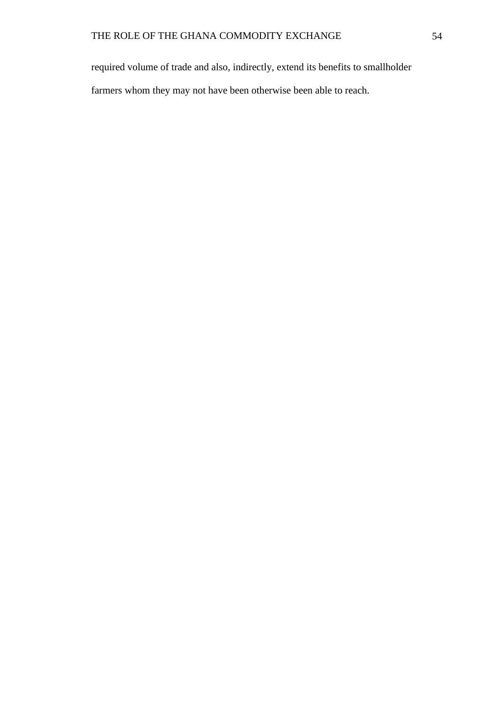required volume of trade and also, indirectly, extend its benefits to smallholder farmers whom they may not have been otherwise been able to reach.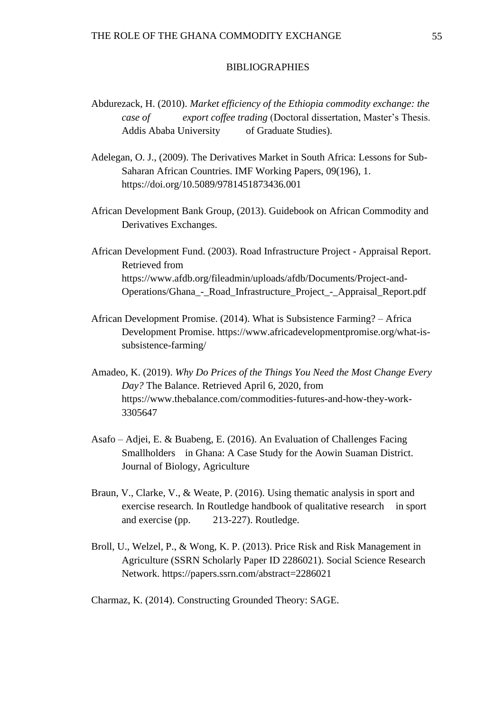#### BIBLIOGRAPHIES

- Abdurezack, H. (2010). *Market efficiency of the Ethiopia commodity exchange: the case of export coffee trading* (Doctoral dissertation, Master's Thesis. Addis Ababa University of Graduate Studies).
- Adelegan, O. J., (2009). The Derivatives Market in South Africa: Lessons for Sub-Saharan African Countries. IMF Working Papers, 09(196), 1. https://doi.org/10.5089/9781451873436.001
- African Development Bank Group, (2013). Guidebook on African Commodity and Derivatives Exchanges.
- African Development Fund. (2003). Road Infrastructure Project Appraisal Report. Retrieved from <https://www.afdb.org/fileadmin/uploads/afdb/Documents/Project-and->Operations/Ghana\_-\_Road\_Infrastructure\_Project\_-\_Appraisal\_Report.pdf
- African Development Promise. (2014). What is Subsistence Farming? Africa Development Promise. [https://www.africadevelopmentpromise.org/what-is](https://www.africadevelopmentpromise.org/what-is-)subsistence-farming/
- Amadeo, K. (2019). *Why Do Prices of the Things You Need the Most Change Every Day?* The Balance. Retrieved April 6, 2020, from https://www.thebalance.com/commodities-futures-and-how-they-work-3305647
- Asafo Adjei, E. & Buabeng, E. (2016). An Evaluation of Challenges Facing Smallholders in Ghana: A Case Study for the Aowin Suaman District. Journal of Biology, Agriculture
- Braun, V., Clarke, V., & Weate, P. (2016). Using thematic analysis in sport and exercise research. In Routledge handbook of qualitative research in sport and exercise (pp. 213-227). Routledge.
- Broll, U., Welzel, P., & Wong, K. P. (2013). Price Risk and Risk Management in Agriculture (SSRN Scholarly Paper ID 2286021). Social Science Research Network. https://papers.ssrn.com/abstract=2286021
- Charmaz, K. (2014). Constructing Grounded Theory: SAGE.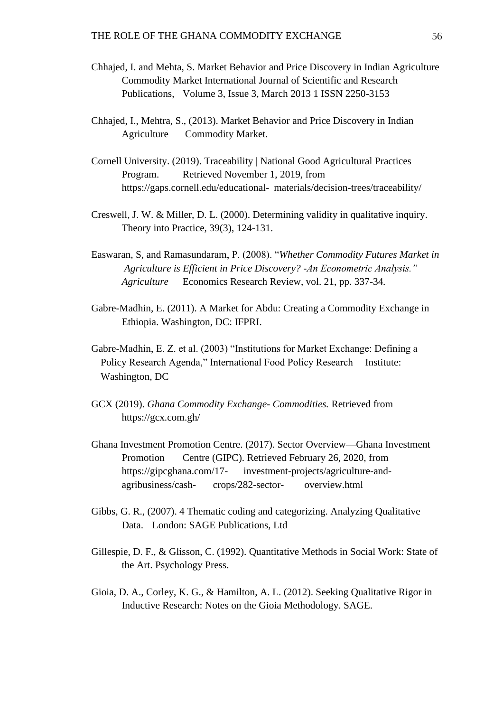- Chhajed, I. and Mehta, S. Market Behavior and Price Discovery in Indian Agriculture Commodity Market International Journal of Scientific and Research Publications, Volume 3, Issue 3, March 2013 1 ISSN 2250-3153
- Chhajed, I., Mehtra, S., (2013). Market Behavior and Price Discovery in Indian Agriculture Commodity Market.
- Cornell University. (2019). Traceability | National Good Agricultural Practices Program. Retrieved November 1, 2019, from [https://gaps.cornell.edu/educational-](https://gaps.cornell.edu/educational-materials/decision-trees/traceability/) materials/decision-trees/traceability/
- Creswell, J. W. & Miller, D. L. (2000). Determining validity in qualitative inquiry. Theory into Practice, 39(3), 124-131.
- Easwaran, S, and Ramasundaram, P. (2008). "*Whether Commodity Futures Market in Agriculture is Efficient in Price Discovery? -An Econometric Analysis." Agriculture* Economics Research Review, vol. 21, pp. 337-34*.*
- Gabre-Madhin, E. (2011). A Market for Abdu: Creating a Commodity Exchange in Ethiopia. Washington, DC: IFPRI.
- Gabre-Madhin, E. Z. et al. (2003) "Institutions for Market Exchange: Defining a Policy Research Agenda," International Food Policy Research Institute: Washington, DC
- GCX (2019). *Ghana Commodity Exchange- Commodities.* Retrieved from <https://gcx.com.gh/>
- Ghana Investment Promotion Centre. (2017). Sector Overview—Ghana Investment Promotion Centre (GIPC). Retrieved February 26, 2020, from https://gipcghana.com/17- investment-projects/agriculture-andagribusiness/cash- crops/282-sector- overview.html
- Gibbs, G. R., (2007). 4 Thematic coding and categorizing. Analyzing Qualitative Data. London: SAGE Publications, Ltd
- Gillespie, D. F., & Glisson, C. (1992). Quantitative Methods in Social Work: State of the Art. Psychology Press.
- Gioia, D. A., Corley, K. G., & Hamilton, A. L. (2012). Seeking Qualitative Rigor in Inductive Research: Notes on the Gioia Methodology. SAGE.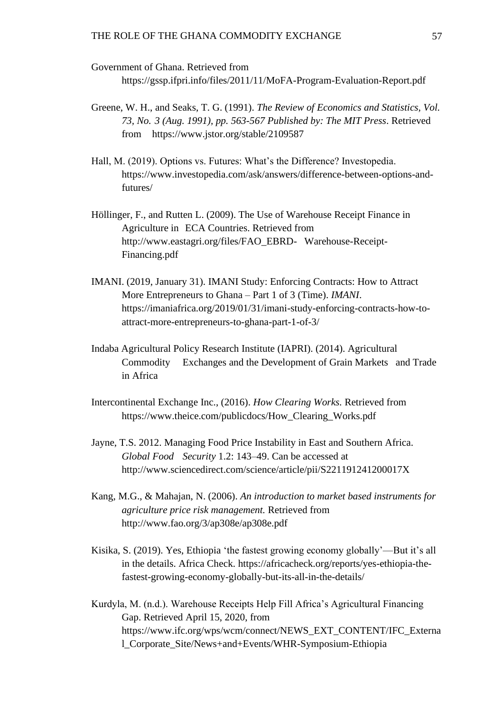Government of Ghana. Retrieved from

<https://gssp.ifpri.info/files/2011/11/MoFA-Program-Evaluation-Report.pdf>

- Greene, W. H., and Seaks, T. G. (1991). *The Review of Economics and Statistics, Vol. 73, No. 3 (Aug. 1991), pp. 563-567 Published by: The MIT Press*. Retrieved from <https://www.jstor.org/stable/2109587>
- Hall, M. (2019). Options vs. Futures: What's the Difference? Investopedia. [https://www.investopedia.com/ask/answers/difference-between-options-and](https://www.investopedia.com/ask/answers/difference-between-options-and-)futures/
- Höllinger, F., and Rutten L. (2009). The Use of Warehouse Receipt Finance in Agriculture in ECA Countries. Retrieved from [http://www.eastagri.org/files/FAO\\_EBRD-](http://www.eastagri.org/files/FAO_EBRD-) Warehouse-Receipt-Financing.pdf
- IMANI. (2019, January 31). IMANI Study: Enforcing Contracts: How to Attract More Entrepreneurs to Ghana – Part 1 of 3 (Time). *IMANI*. [https://imaniafrica.org/2019/01/31/imani-study-enforcing-contracts-how-to](https://imaniafrica.org/2019/01/31/imani-study-enforcing-contracts-how-to-%09attract-more-entrepreneurs-to-ghana-part-1-of-3/)[attract-more-entrepreneurs-to-ghana-part-1-of-3/](https://imaniafrica.org/2019/01/31/imani-study-enforcing-contracts-how-to-%09attract-more-entrepreneurs-to-ghana-part-1-of-3/)
- Indaba Agricultural Policy Research Institute (IAPRI). (2014). Agricultural Commodity Exchanges and the Development of Grain Markets and Trade in Africa
- Intercontinental Exchange Inc., (2016). *How Clearing Works.* Retrieved from https://www.theice.com/publicdocs/How\_Clearing\_Works.pdf
- Jayne, T.S. 2012. Managing Food Price Instability in East and Southern Africa. *Global Food Security* 1.2: 143–49. Can be accessed at http://www.sciencedirect.com/science/article/pii/S221191241200017X
- Kang, M.G., & Mahajan, N. (2006). *An introduction to market based instruments for agriculture price risk management.* Retrieved from <http://www.fao.org/3/ap308e/ap308e.pdf>
- Kisika, S. (2019). Yes, Ethiopia 'the fastest growing economy globally'—But it's all in the details. Africa Check. [https://africacheck.org/reports/yes-ethiopia-the](https://africacheck.org/reports/yes-ethiopia-the-)fastest-growing-economy-globally-but-its-all-in-the-details/
- Kurdyla, M. (n.d.). Warehouse Receipts Help Fill Africa's Agricultural Financing Gap. Retrieved April 15, 2020, from [https://www.ifc.org/wps/wcm/connect/NEWS\\_EXT\\_CONTENT/IFC\\_Externa](https://www.ifc.org/wps/wcm/connect/NEWS_EXT_CONTENT/IFC_Externa) l\_Corporate\_Site/News+and+Events/WHR-Symposium-Ethiopia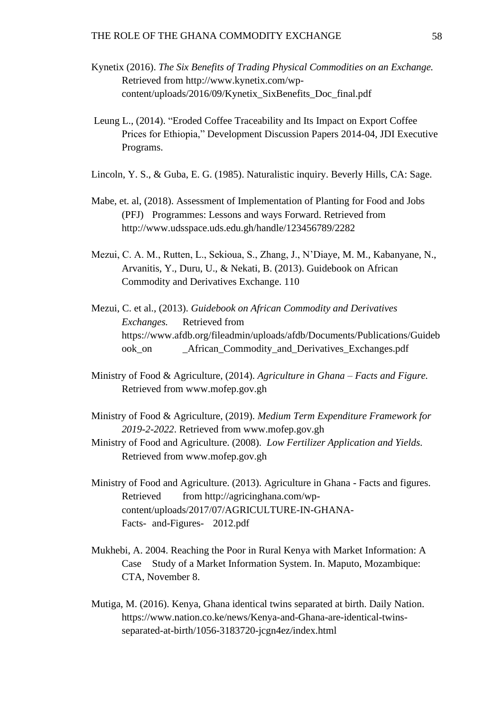- Kynetix (2016). *The Six Benefits of Trading Physical Commodities on an Exchange.*  Retrieved from [http://www.kynetix.com/wp](http://www.kynetix.com/wp-)content/uploads/2016/09/Kynetix\_SixBenefits\_Doc\_final.pdf
- Leung L., (2014). "Eroded Coffee Traceability and Its Impact on Export Coffee Prices for Ethiopia," Development Discussion Papers 2014-04, JDI Executive Programs.
- Lincoln, Y. S., & Guba, E. G. (1985). Naturalistic inquiry. Beverly Hills, CA: Sage.
- Mabe, et. al, (2018). Assessment of Implementation of Planting for Food and Jobs (PFJ) Programmes: Lessons and ways Forward. Retrieved from http://www.udsspace.uds.edu.gh/handle/123456789/2282
- Mezui, C. A. M., Rutten, L., Sekioua, S., Zhang, J., N'Diaye, M. M., Kabanyane, N., Arvanitis, Y., Duru, U., & Nekati, B. (2013). Guidebook on African Commodity and Derivatives Exchange. 110
- Mezui, C. et al., (2013). *Guidebook on African Commodity and Derivatives Exchanges.* Retrieved from https://www.afdb.org/fileadmin/uploads/afdb/Documents/Publications/Guideb ook\_on \_African\_Commodity\_and\_Derivatives\_Exchanges.pdf
- Ministry of Food & Agriculture, (2014). *Agriculture in Ghana – Facts and Figure.*  Retrieved from [www.mofep.gov.gh](http://www.mofep.gov.gh/)
- Ministry of Food & Agriculture, (2019). *Medium Term Expenditure Framework for 2019-2-2022*. Retrieved from [www.mofep.gov.gh](http://www.mofep.gov.gh/)
- Ministry of Food and Agriculture. (2008). *Low Fertilizer Application and Yields.* Retrieved from [www.mofep.gov.gh](http://www.mofep.gov.gh/)
- Ministry of Food and Agriculture. (2013). Agriculture in Ghana Facts and figures. Retrieved from [http://agricinghana.com/wp](http://agricinghana.com/wp-)content/uploads/2017/07/AGRICULTURE-IN-GHANA-Facts- and-Figures- 2012.pdf
- Mukhebi, A. 2004. Reaching the Poor in Rural Kenya with Market Information: A Case Study of a Market Information System. In. Maputo, Mozambique: CTA, November 8.
- Mutiga, M. (2016). Kenya, Ghana identical twins separated at birth. Daily Nation. [https://www.nation.co.ke/news/Kenya-and-Ghana-are-identical-twins](https://www.nation.co.ke/news/Kenya-and-Ghana-are-identical-twins-)separated-at-birth/1056-3183720-jcgn4ez/index.html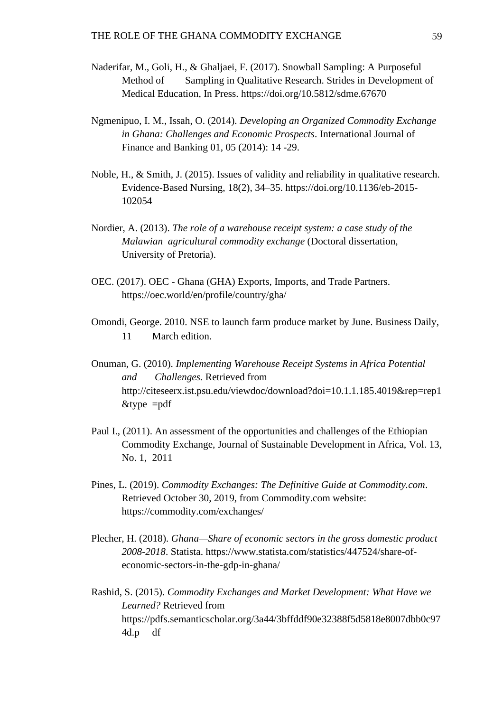- Naderifar, M., Goli, H., & Ghaljaei, F. (2017). Snowball Sampling: A Purposeful Method of Sampling in Qualitative Research. Strides in Development of Medical Education, In Press.<https://doi.org/10.5812/sdme.67670>
- Ngmenipuo, I. M., Issah, O. (2014). *Developing an Organized Commodity Exchange in Ghana: Challenges and Economic Prospects*. International Journal of Finance and Banking 01, 05 (2014): 14 -29.
- Noble, H., & Smith, J. (2015). Issues of validity and reliability in qualitative research. Evidence-Based Nursing, 18(2), 34–35.<https://doi.org/10.1136/eb-2015-> 102054
- Nordier, A. (2013). *The role of a warehouse receipt system: a case study of the Malawian agricultural commodity exchange* (Doctoral dissertation, University of Pretoria).
- OEC. (2017). OEC Ghana (GHA) Exports, Imports, and Trade Partners. https://oec.world/en/profile/country/gha/
- Omondi, George. 2010. NSE to launch farm produce market by June. Business Daily, 11 March edition.
- Onuman, G. (2010). *Implementing Warehouse Receipt Systems in Africa Potential and Challenges.* Retrieved from <http://citeseerx.ist.psu.edu/viewdoc/download?doi=10.1.1.185.4019&rep=rep1>  $&$ type =pdf
- Paul I., (2011). An assessment of the opportunities and challenges of the Ethiopian Commodity Exchange, Journal of Sustainable Development in Africa, Vol. 13, No. 1, 2011
- Pines, L. (2019). *Commodity Exchanges: The Definitive Guide at Commodity.com*. Retrieved October 30, 2019, from Commodity.com website: <https://commodity.com/exchanges/>
- Plecher, H. (2018). *Ghana—Share of economic sectors in the gross domestic product 2008-2018*. Statista. [https://www.statista.com/statistics/447524/share-of](https://www.statista.com/statistics/447524/share-of-economic-sectors-in-the-gdp-in-ghana/)[economic-sectors-in-the-gdp-in-ghana/](https://www.statista.com/statistics/447524/share-of-economic-sectors-in-the-gdp-in-ghana/)

Rashid, S. (2015). *Commodity Exchanges and Market Development: What Have we Learned?* Retrieved from https://pdfs.semanticscholar.org/3a44/3bffddf90e32388f5d5818e8007dbb0c97 4d.p df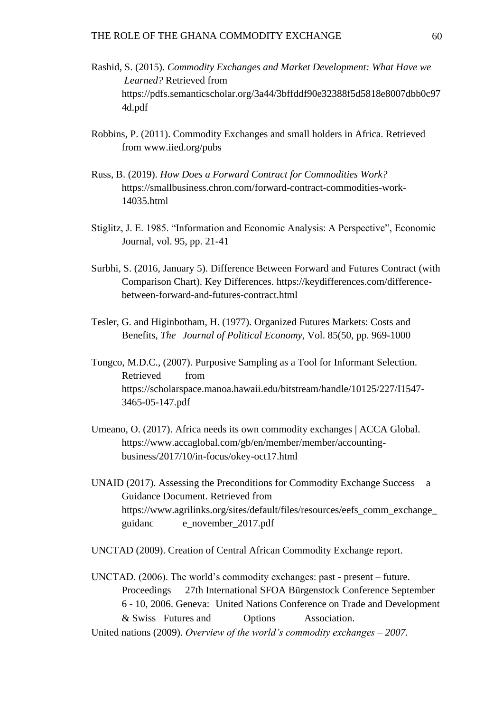- Rashid, S. (2015). *Commodity Exchanges and Market Development: What Have we Learned?* Retrieved from https://pdfs.semanticscholar.org/3a44/3bffddf90e32388f5d5818e8007dbb0c97 4d.pdf
- Robbins, P. (2011). Commodity Exchanges and small holders in Africa. Retrieved from [www.iied.org/pubs](http://www.iied.org/pubs)
- Russ, B. (2019). *How Does a Forward Contract for Commodities Work?* https://smallbusiness.chron.com/forward-contract-commodities-work-14035.html
- Stiglitz, J. E. 1985. "Information and Economic Analysis: A Perspective", Economic Journal, vol. 95, pp. 21-41
- Surbhi, S. (2016, January 5). Difference Between Forward and Futures Contract (with Comparison Chart). Key Differences. [https://keydifferences.com/difference](https://keydifferences.com/difference-)between-forward-and-futures-contract.html
- Tesler, G. and Higinbotham, H. (1977). Organized Futures Markets: Costs and Benefits, *The Journal of Political Economy,* Vol. 85(50, pp. 969-1000
- Tongco, M.D.C., (2007). Purposive Sampling as a Tool for Informant Selection. Retrieved from <https://scholarspace.manoa.hawaii.edu/bitstream/handle/10125/227/I1547-> 3465-05-147.pdf
- Umeano, O. (2017). Africa needs its own commodity exchanges | ACCA Global. [https://www.accaglobal.com/gb/en/member/member/accounting](https://www.accaglobal.com/gb/en/member/member/accounting-)business/2017/10/in-focus/okey-oct17.html
- UNAID (2017). Assessing the Preconditions for Commodity Exchange Success a Guidance Document. Retrieved from [https://www.agrilinks.org/sites/default/files/resources/eefs\\_comm\\_exchange\\_](https://www.agrilinks.org/sites/default/files/resources/eefs_comm_exchange_guidance_november_2017.pdf) guidanc [e\\_november\\_2017.pdf](https://www.agrilinks.org/sites/default/files/resources/eefs_comm_exchange_guidance_november_2017.pdf)

UNCTAD (2009). Creation of Central African Commodity Exchange report.

UNCTAD. (2006). The world's commodity exchanges: past - present – future. Proceedings 27th International SFOA Bürgenstock Conference September 6 - 10, 2006. Geneva: United Nations Conference on Trade and Development & Swiss Futures and Options Association. United nations (2009). *Overview of the world's commodity exchanges – 2007.*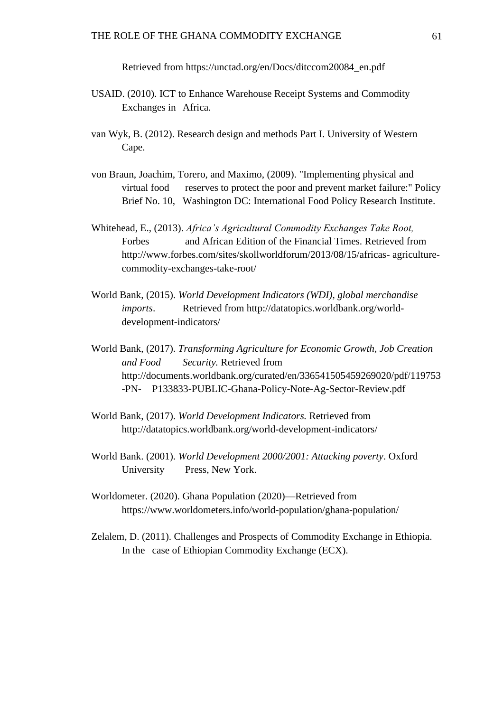Retrieved from [https://unctad.org/en/Docs/ditccom20084\\_en.pdf](https://unctad.org/en/Docs/ditccom20084_en.pdf)

- USAID. (2010). ICT to Enhance Warehouse Receipt Systems and Commodity Exchanges in Africa.
- van Wyk, B. (2012). Research design and methods Part I. University of Western Cape.
- von Braun, Joachim, Torero, and Maximo, (2009). "Implementing physical and virtual food reserves to protect the poor and prevent market failure:" Policy Brief No. 10, Washington DC: International Food Policy Research Institute.
- Whitehead, E., (2013). *Africa's Agricultural Commodity Exchanges Take Root,*  Forbes and African Edition of the Financial Times. Retrieved from http://www.forbes.com/sites/skollworldforum/2013/08/15/africas- agriculturecommodity-exchanges-take-root/
- World Bank, (2015). *World Development Indicators (WDI), global merchandise imports*. Retrieved from [http://datatopics.worldbank.org/world](http://datatopics.worldbank.org/world-)development-indicators/
- World Bank, (2017). *Transforming Agriculture for Economic Growth, Job Creation and Food Security.* Retrieved from <http://documents.worldbank.org/curated/en/336541505459269020/pdf/119753> -PN- P133833-PUBLIC-Ghana-Policy-Note-Ag-Sector-Review.pdf
- World Bank, (2017). *World Development Indicators.* Retrieved from <http://datatopics.worldbank.org/world-development-indicators/>
- World Bank. (2001). *World Development 2000/2001: Attacking poverty*. Oxford University Press, New York.
- Worldometer. (2020). Ghana Population (2020)—Retrieved from https://www.worldometers.info/world-population/ghana-population/
- Zelalem, D. (2011). Challenges and Prospects of Commodity Exchange in Ethiopia. In the case of Ethiopian Commodity Exchange (ECX).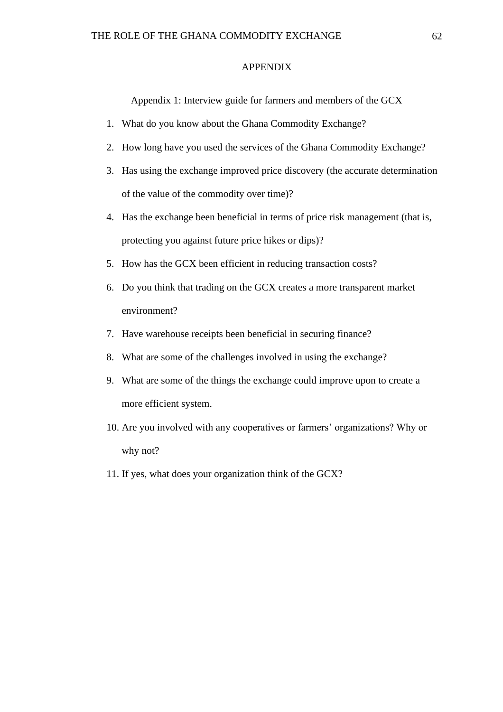#### APPENDIX

Appendix 1: Interview guide for farmers and members of the GCX

- 1. What do you know about the Ghana Commodity Exchange?
- 2. How long have you used the services of the Ghana Commodity Exchange?
- 3. Has using the exchange improved price discovery (the accurate determination of the value of the commodity over time)?
- 4. Has the exchange been beneficial in terms of price risk management (that is, protecting you against future price hikes or dips)?
- 5. How has the GCX been efficient in reducing transaction costs?
- 6. Do you think that trading on the GCX creates a more transparent market environment?
- 7. Have warehouse receipts been beneficial in securing finance?
- 8. What are some of the challenges involved in using the exchange?
- 9. What are some of the things the exchange could improve upon to create a more efficient system.
- 10. Are you involved with any cooperatives or farmers' organizations? Why or why not?
- 11. If yes, what does your organization think of the GCX?